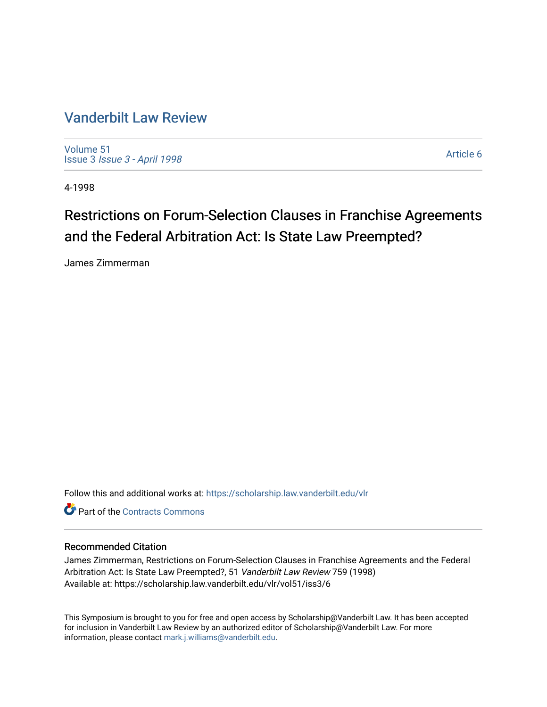# [Vanderbilt Law Review](https://scholarship.law.vanderbilt.edu/vlr)

[Volume 51](https://scholarship.law.vanderbilt.edu/vlr/vol51) Issue 3 [Issue 3 - April 1998](https://scholarship.law.vanderbilt.edu/vlr/vol51/iss3)

[Article 6](https://scholarship.law.vanderbilt.edu/vlr/vol51/iss3/6) 

4-1998

# Restrictions on Forum-Selection Clauses in Franchise Agreements and the Federal Arbitration Act: Is State Law Preempted?

James Zimmerman

Follow this and additional works at: [https://scholarship.law.vanderbilt.edu/vlr](https://scholarship.law.vanderbilt.edu/vlr?utm_source=scholarship.law.vanderbilt.edu%2Fvlr%2Fvol51%2Fiss3%2F6&utm_medium=PDF&utm_campaign=PDFCoverPages)

**C** Part of the [Contracts Commons](http://network.bepress.com/hgg/discipline/591?utm_source=scholarship.law.vanderbilt.edu%2Fvlr%2Fvol51%2Fiss3%2F6&utm_medium=PDF&utm_campaign=PDFCoverPages)

## Recommended Citation

James Zimmerman, Restrictions on Forum-Selection Clauses in Franchise Agreements and the Federal Arbitration Act: Is State Law Preempted?, 51 Vanderbilt Law Review 759 (1998) Available at: https://scholarship.law.vanderbilt.edu/vlr/vol51/iss3/6

This Symposium is brought to you for free and open access by Scholarship@Vanderbilt Law. It has been accepted for inclusion in Vanderbilt Law Review by an authorized editor of Scholarship@Vanderbilt Law. For more information, please contact [mark.j.williams@vanderbilt.edu](mailto:mark.j.williams@vanderbilt.edu).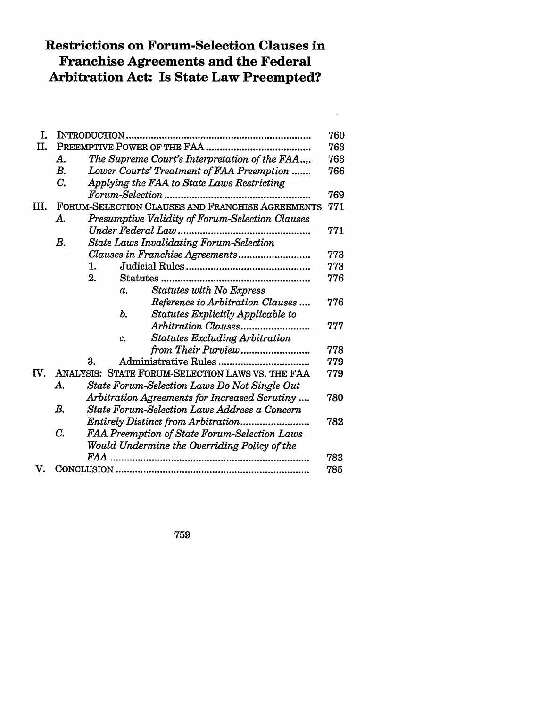# **Restrictions on Forum-Selection Clauses in Franchise Agreements and the Federal Arbitration Act: Is State Law Preempted?**

 $\ddot{\phantom{a}}$ 

| T.  |                                                       |                                                      |            |                                       |     |
|-----|-------------------------------------------------------|------------------------------------------------------|------------|---------------------------------------|-----|
| Π.  |                                                       |                                                      |            |                                       | 763 |
|     | A.                                                    | The Supreme Court's Interpretation of the FAA        |            |                                       |     |
|     | B.                                                    | Lower Courts' Treatment of FAA Preemption            |            |                                       |     |
|     | C.<br>Applying the FAA to State Laws Restricting      |                                                      |            |                                       | 766 |
|     | Forum-Selection                                       |                                                      |            |                                       | 769 |
| Ш.  |                                                       | FORUM-SELECTION CLAUSES AND FRANCHISE AGREEMENTS     |            |                                       |     |
|     | Presumptive Validity of Forum-Selection Clauses<br>А. |                                                      |            |                                       |     |
|     |                                                       |                                                      |            |                                       | 771 |
|     | $B_{\cdot}$                                           | <b>State Laws Invalidating Forum-Selection</b>       |            |                                       |     |
|     |                                                       | 773                                                  |            |                                       |     |
|     |                                                       | 1.                                                   |            |                                       | 773 |
|     |                                                       | 2.                                                   |            |                                       | 776 |
|     |                                                       |                                                      | $\alpha$ . | <b>Statutes with No Express</b>       |     |
|     |                                                       |                                                      |            | Reference to Arbitration Clauses      | 776 |
|     |                                                       |                                                      | Ъ.         | Statutes Explicitly Applicable to     |     |
|     |                                                       |                                                      |            | Arbitration Clauses                   | 777 |
|     |                                                       |                                                      | c.         | <b>Statutes Excluding Arbitration</b> |     |
|     |                                                       |                                                      |            | from Their Purview                    | 778 |
|     |                                                       | 3.                                                   |            |                                       | 779 |
| IV. | ANALYSIS: STATE FORUM-SELECTION LAWS VS. THE FAA      |                                                      |            |                                       | 779 |
|     | А.                                                    | State Forum-Selection Laws Do Not Single Out         |            |                                       |     |
|     |                                                       | Arbitration Agreements for Increased Scrutiny<br>780 |            |                                       |     |
|     | В.                                                    | State Forum-Selection Laws Address a Concern         |            |                                       |     |
|     |                                                       | Entirely Distinct from Arbitration                   |            |                                       |     |
|     | C.                                                    | FAA Preemption of State Forum-Selection Laws         |            |                                       |     |
|     |                                                       | Would Undermine the Overriding Policy of the         |            |                                       |     |
|     |                                                       |                                                      |            |                                       | 783 |
| V.  |                                                       |                                                      |            |                                       | 785 |

759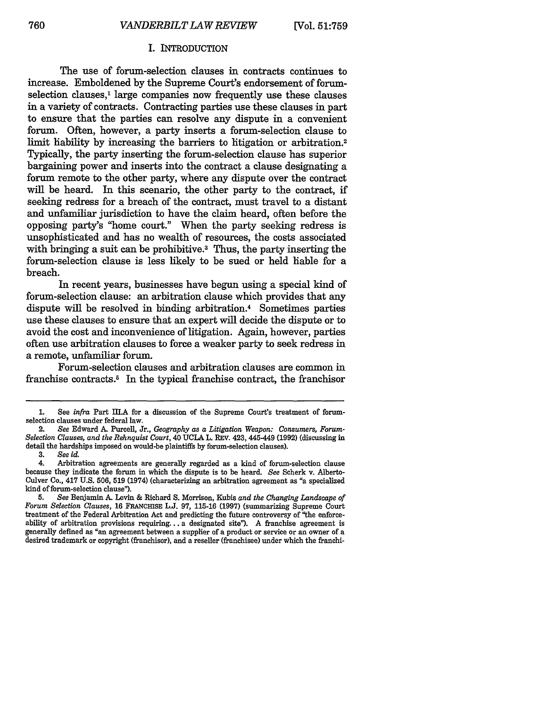#### I. INTRODUCTION

The use of forum-selection clauses in contracts continues to increase. Emboldened by the Supreme Court's endorsement of forumselection clauses,<sup>1</sup> large companies now frequently use these clauses in a variety of contracts. Contracting parties use these clauses in part to ensure that the parties can resolve any dispute in a convenient forum. Often, however, a party inserts a forum-selection clause to limit liability by increasing the barriers to litigation or arbitration.<sup>2</sup> Typically, the party inserting the forum-selection clause has superior bargaining power and inserts into the contract a clause designating a forum remote to the other party, where any dispute over the contract will be heard. In this scenario, the other party to the contract, if seeking redress for a breach of the contract, must travel to a distant and unfamiliar jurisdiction to have the claim heard, often before the opposing party's "home court." When the party seeking redress is unsophisticated and has no wealth of resources, the costs associated with bringing a suit can be prohibitive.<sup>3</sup> Thus, the party inserting the forum-selection clause is less likely to be sued or held liable for a breach.

In recent years, businesses have begun using a special kind of forum-selection clause: an arbitration clause which provides that any dispute will be resolved in binding arbitration.4 Sometimes parties use these clauses to ensure that an expert will decide the dispute or to avoid the cost and inconvenience of litigation. Again, however, parties often use arbitration clauses to force a weaker party to seek redress in a remote, unfamiliar forum.

Forum-selection clauses and arbitration clauses are common in franchise contracts.<sup>5</sup> In the typical franchise contract, the franchisor

<sup>1.</sup> See *infra* Part IIIA for a discussion of the Supreme Court's treatment of forumselection clauses under federal law.

<sup>2.</sup> *See* Edward A. Purcell, Jr., *Geography as a Litigation Weapon: Consumers, Forum-Selection Clauses, and the Rehnquist Court,* 40 UCLA L. REV. 423, 445-449 (1992) (discussing in detail the hardships imposed on would-be plaintiffs by forum-selection clauses).

<sup>3.</sup> *See id.*

<sup>4.</sup> Arbitration agreements are generally regarded as a kind of forum-selection clause because they indicate the forum in which the dispute is to be heard. *See* Scherk v. Alberto-Culver Co., 417 U.S. 506, **519** (1974) (characterizing an arbitration agreement as "a specialized kind of forum-selection clause").

**<sup>5.</sup>** *See* Benjamin A. Levin & Richard **S.** Morrison, Kubis *and the Changing Landscape of Forum Selection Clauses,* 16 FRANCHISE L.J. 97, 115-16 (1997) (summarizing Supreme Court treatment of the Federal Arbitration Act and predicting the future controversy of "the enforceability of arbitration provisions requiring.., a designated site"). A franchise agreement is generally defined as "an agreement between a supplier of a product or service or an owner of a desired trademark or copyright (franchisor), and a reseller (franchisee) under which the franchi-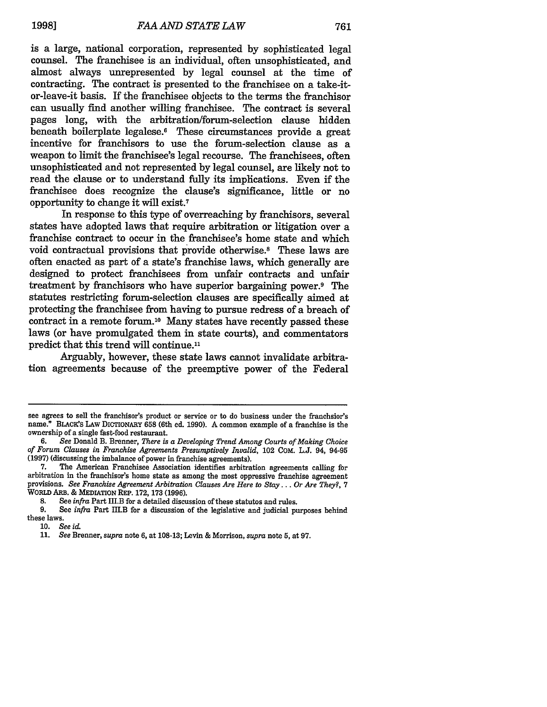is a large, national corporation, represented by sophisticated legal counsel. The franchisee is an individual, often unsophisticated, and almost always unrepresented by legal counsel at the time of contracting. The contract is presented to the franchisee on a take-itor-leave-it basis. If the franchisee objects to the terms the franchisor can usually find another willing franchisee. The contract is several pages long, with the arbitration/forum-selection clause hidden beneath boilerplate legalese.<sup>6</sup> These circumstances provide a great incentive for franchisors to use the forum-selection clause as a weapon to limit the franchisee's legal recourse. The franchisees, often unsophisticated and not represented by legal counsel, are likely not to read the clause or to understand fully its implications. Even if the franchisee does recognize the clause's significance, little or no opportunity to change it will exist.7

In response to this type of overreaching by franchisors, several states have adopted laws that require arbitration or litigation over a franchise contract to occur in the franchisee's home state and which void contractual provisions that provide otherwise.8 These laws are often enacted as part of a state's franchise laws, which generally are designed to protect franchisees from unfair contracts and unfair treatment by franchisors who have superior bargaining power.9 The statutes restricting forum-selection clauses are specifically aimed at protecting the franchisee from having to pursue redress of a breach of contract in a remote forum.'0 Many states have recently passed these laws (or have promulgated them in state courts), and commentators predict that this trend will continue."

Arguably, however, these state laws cannot invalidate arbitration agreements because of the preemptive power of the Federal

9. See *infra* Part IH.B for a discussion of the legislative and judicial purposes behind these laws.

see agrees to sell the franchisor's product or service or to do business under the franchsior's name." BLACK'S LAW DICTIONARY 658 (6th ed. 1990). A common example of a franchise is the ownership of a single fast-food restaurant.

**<sup>6.</sup>** *See* Donald B. Brenner, *There is a Developing Trend Among Courts of Making Choice of Forum Clauses in Franchise Agreements Presumptively Invalid,* 102 COM. L.J. 94, 94-95 (1997) (discussing the imbalance of power in franchise agreements).

The American Franchisee Association identifies arbitration agreements calling for arbitration in the franchisor's home state as among the most oppressive franchise agreement provisions. *See Franchise Agreement Arbitration Clauses Are Here to Stay... Or Are They?,* 7 WORLD **ARB.** & MEDIATION REP. 172, **173** (1996).

<sup>8.</sup> See *infra* Part III.B for a detailed discussion of these statutos and rules.<br>9. See *infra* Part III.B for a discussion of the legislative and indicial pu

**<sup>10.</sup>** *See id.*

**<sup>11.</sup>** *See* Brenner, *supra* note 6, at 108-13; Levin & Morrison, *supra* note **5,** at 97.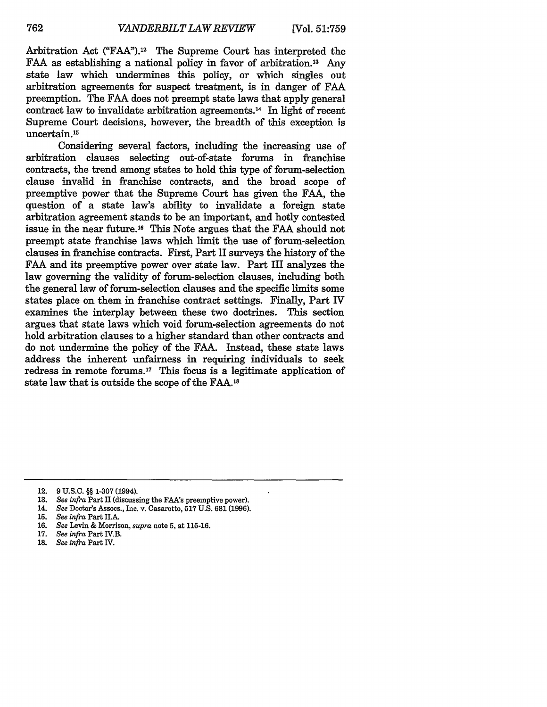Arbitration Act ("FAA").<sup>12</sup> The Supreme Court has interpreted the FAA as establishing a national policy in favor of arbitration.<sup>13</sup> Any state law which undermines this policy, or which singles out arbitration agreements for suspect treatment, is in danger of FAA preemption. The FAA does not preempt state laws that apply general contract law to invalidate arbitration agreements.<sup>14</sup> In light of recent Supreme Court decisions, however, the breadth of this exception is uncertain.<sup>15</sup>

Considering several factors, including the increasing use of arbitration clauses selecting out-of-state forums in franchise contracts, the trend among states to hold this type of forum-selection clause invalid in franchise contracts, and the broad scope of preemptive power that the Supreme Court has given the **FAA,** the question of a state law's ability to invalidate a foreign state arbitration agreement stands to be an important, and hotly contested issue in the near future.16 This Note argues that the **FAA** should not preempt state franchise laws which limit the use of forum-selection clauses in franchise contracts. First, Part II surveys the history of the **FAA** and its preemptive power over state law. Part III analyzes the law governing the validity of forum-selection clauses, including both the general law of forum-selection clauses and the specific limits some states place on them in franchise contract settings. Finally, Part **IV** examines the interplay between these two doctrines. This section argues that state laws which void forum-selection agreements do not hold arbitration clauses to a higher standard than other contracts and do not undermine the policy of the **FAA.** Instead, these state laws address the inherent unfairness in requiring individuals to seek redress in remote forums.<sup>17</sup> This focus is a legitimate application of state law that is outside the scope of the **FAA.18**

18. *See infra* Part IV.

<sup>12.</sup> **9 U.S.C.** §§ **1-307** (1994).

**<sup>13.</sup>** *See infra* Part II (discussing the FAA's preemptive power).

<sup>14.</sup> *See* Doctor's Assocs., Inc. v. Casarotto, **517 U.S. 681 (1996).**

**<sup>15.</sup>** *See infra* Part II.A.

**<sup>16.</sup>** *See* Levin & Morrison, *supra* note **5,** at 115-16.

**<sup>17.</sup>** *See infra* Part IV.B.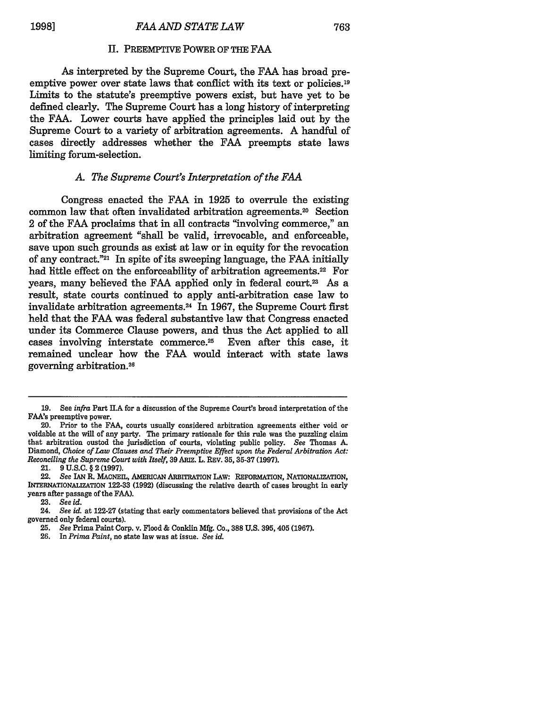#### II. PREEMPTIVE POWER OF THE FAA

As interpreted by the Supreme Court, the FAA has broad preemptive power over state laws that conflict with its text or policies.<sup>19</sup> Limits to the statute's preemptive powers exist, but have yet to be defined clearly. The Supreme Court has a long history of interpreting the FAA. Lower courts have applied the principles laid out by the Supreme Court to a variety of arbitration agreements. A handful of cases directly addresses whether the FAA preempts state laws limiting forum-selection.

#### *A. The Supreme Court's Interpretation of the FAA*

Congress enacted the FAA in 1925 to overrule the existing common law that often invalidated arbitration agreements.<sup>20</sup> Section 2 of the FAA proclaims that in all contracts "involving commerce," an arbitration agreement "shall be valid, irrevocable, and enforceable, save upon such grounds as exist at law or in equity for the revocation of any contract."21 In spite of its sweeping language, the FAA initially had little effect on the enforceability of arbitration agreements.<sup>22</sup> For years, many believed the FAA applied only in federal court.<sup>23</sup> As a result, state courts continued to apply anti-arbitration case law to invalidate arbitration agreements.<sup>24</sup> In 1967, the Supreme Court first held that the FAA was federal substantive law that Congress enacted under its Commerce Clause powers, and thus the Act applied to all cases involving interstate commerce.<sup>25</sup> Even after this case, it remained unclear how the FAA would interact with state laws governing arbitration. <sup>26</sup>

21. 9 **U.S.C.** § 2 **(1997).**

**23.** *See id.*

<sup>19.</sup> See *infra* Part Il.A for a discussion of the Supreme Court's broad interpretation of the FAA's preemptive power.

<sup>20.</sup> Prior to the FAA, courts usually considered arbitration agreements either void or voidable at the will of any party. The primary rationale for this rule was the puzzling claim that arbitration ousted the jurisdiction of courts, violating public policy. *See* Thomas A. Diamond, *Choice of Law Clauses and Their Preemptive Effect upon the Federal Arbitration Act: Reconciling the Supreme Court with Itself,* 39 ARIZ. L. REV. **35, 35-37** (1997).

<sup>22.</sup> *See* **IAN** R. MACNEIL, AMERICAN ARBITRATION LAW: REFORMATION, NATIONALIZATION, INTERNATIONALIZATION **122-33 (1992)** (discussing the relative dearth of cases brought in early years after passage of the **FAA).**

<sup>24.</sup> *See id.* at **122-27** (stating that early commentators believed that provisions of the Act governed only federal courts).

**<sup>25.</sup>** *See* Prima Paint Corp. v. Flood **&** Conklin **Mfg.** Co., **388 U.S. 395,405 (1967).**

**<sup>26.</sup>** In *Prima Paint,* no state law was at issue. *See id.*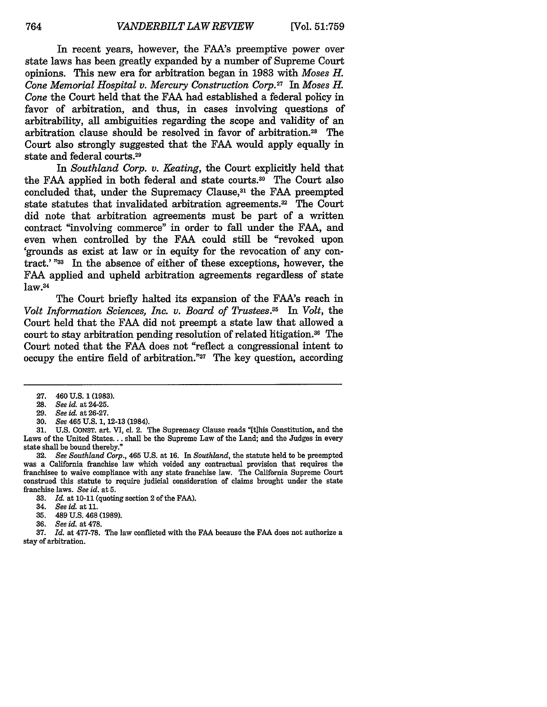In recent years, however, the FAA's preemptive power over state laws has been greatly expanded **by** a number of Supreme Court opinions. This new era for arbitration began in **1983** with *Moses H. Cone Memorial Hospital v. Mercury Construction Corp.2 7 In Moses H. Cone* the Court held that the FAA had established a federal policy in favor of arbitration, and thus, in cases involving questions of arbitrability, all ambiguities regarding the scope and validity of an arbitration clause should be resolved in favor of arbitration.28 The Court also strongly suggested that the FAA would apply equally in state and federal courts.29

In *Southland Corp. v. Keating,* the Court explicitly held that the FAA applied in both federal and state courts.30 The Court also concluded that, under the Supremacy Clause,<sup>31</sup> the FAA preempted state statutes that invalidated arbitration agreements.<sup>32</sup> The Court did note that arbitration agreements must be part of a written contract "involving commerce" in order to fall under the FAA, and even when controlled by the FAA could still be "revoked upon 'grounds as exist at law or in equity for the revocation of any contract.' **"33** In the absence of either of these exceptions, however, the FAA applied and upheld arbitration agreements regardless of state  $law.<sup>34</sup>$ 

The Court briefly halted its expansion of the FAA's reach in *Volt Information Sciences, Inc. v. Board of Trustees.35 In Volt,* the Court held that the FAA did not preempt a state law that allowed a court to stay arbitration pending resolution of related litigation.<sup>36</sup> The Court noted that the FAA does not "reflect a congressional intent to occupy the entire field of arbitration."37 The key question, according

**31.** U.S. CONST. art. VI, cl. 2. The Supremacy Clause reads "[tihis Constitution, and the Laws of the United States... shall be the Supreme Law of the Land; and the Judges in every state shall be bound thereby."

32. *See Southland Corp.,* 465 U.S. at 16. In *Southland,* the statute held to be preempted was a California franchise law which voided any contractual provision that requires the franchisee to waive compliance with any state franchise law. The California Supreme Court construed this statute to require judicial consideration of claims brought under the state franchise laws. *See id.* at **5.**

**33.** *Id.* at 10-11 (quoting section 2 of the FAA).

- 35. 489 U.S. 468 (1989).<br>36. See id. at 478.
- 36. *See id.* at 478.

37. *Id.* at 477-78. The law conflicted with the FAA because the **FAA** does not authorize a stay of arbitration.

**<sup>27.</sup>** 460 U.S. **1** (1983).

<sup>28.</sup> *See id.* at 24-25.

<sup>29.</sup> *See id.* at 26-27.

<sup>30.</sup> *See* 465 U.S. 1, 12-13 (1984).

<sup>34.</sup> *See id.* at 11.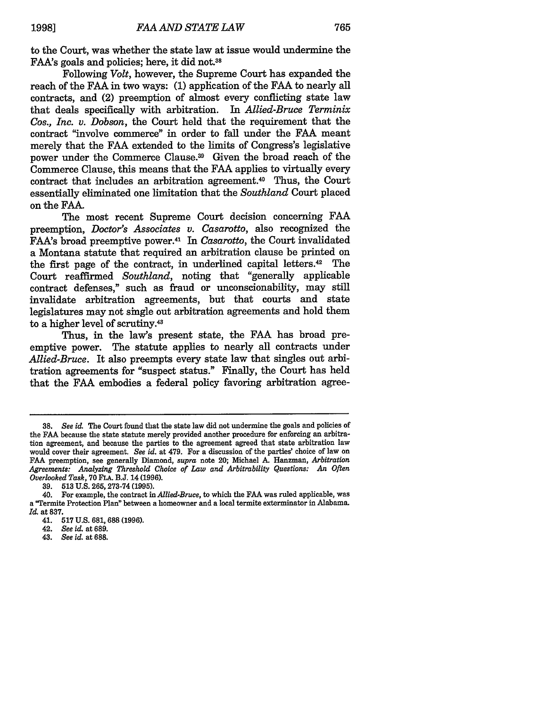to the Court, was whether the state law at issue would undermine the FAA's goals and policies; here, it did not.38

Following *Volt,* however, the Supreme Court has expanded the reach of the FAA in two ways: (1) application of the FAA to nearly all contracts, and (2) preemption of almost every conflicting state law that deals specifically with arbitration. In *Allied-Bruce Terminix Cos., Inc. v. Dobson,* the Court held that the requirement that the contract "involve commerce" in order to fall under the FAA meant merely that the FAA extended to the limits of Congress's legislative power under the Commerce Clause. 39 Given the broad reach of the Commerce Clause, this means that the FAA applies to virtually every contract that includes an arbitration agreement.40 Thus, the Court essentially eliminated one limitation that the *Southland* Court placed on the **FAA.**

The most recent Supreme Court decision concerning **FAA** preemption, *Doctor's Associates v. Casarotto,* also recognized the FAA's broad preemptive power.41 In *Casarotto,* the Court invalidated a Montana statute that required an arbitration clause be printed on the first page of the contract, in underlined capital letters.42 The Court reaffirmed *Southland,* noting that "generally applicable contract defenses," such as fraud or unconscionability, may still invalidate arbitration agreements, but that courts and state legislatures may not single out arbitration agreements and hold them to a higher level of scrutiny.43

Thus, in the law's present state, the **FAA** has broad preemptive power. The statute applies to nearly all contracts under *Allied-Bruce.* It also preempts every state law that singles out arbitration agreements for "suspect status." Finally, the Court has held that the **FAA** embodies a federal policy favoring arbitration agree-

**<sup>38.</sup>** *See* id. The Court found that the state law did not undermine the goals and policies of the **FAA** because the state statute merely provided another procedure for enforcing an arbitration agreement, and because the parties to the agreement agreed that state arbitration law would cover their agreement. *See id.* at 479. For a discussion of the parties' choice of law on **FAA** preemption, see generally Diamond, *supra* note 20; Michael **A.** Hanzman, *Arbitration Agreements: Analyzing Threshold Choice of Law and Arbitrability Questions: An Often Overlooked Task,* 70 **FLA.** B.J. 14 (1996).

<sup>39.</sup> **513** U.S. 265,273-74(1995).

<sup>40.</sup> For example, the contract in *Allied-Bruce,* to which the FAA was ruled applicable, was a "Termite Protection Plan" between a homeowner and a local termite exterminator in Alabama. *Id.* at 837.

<sup>41.</sup> **517** U.S. 681, **688** (1996).

<sup>42.</sup> *See id.* at 689.

*<sup>43.</sup> See id.* at **688.**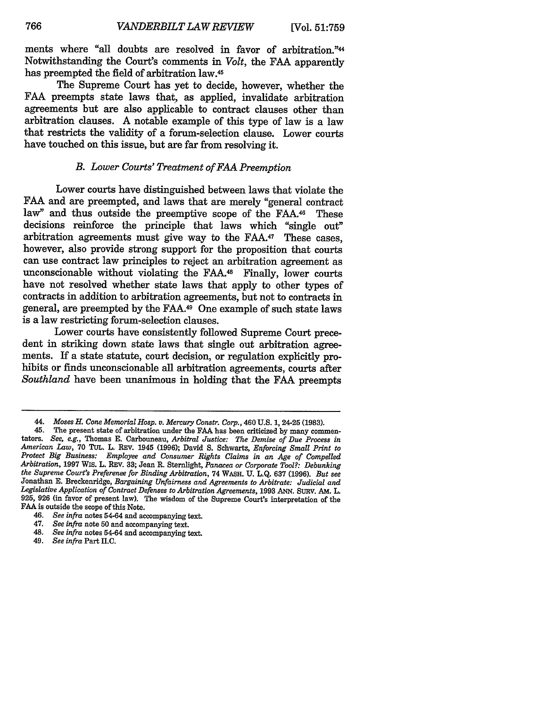ments where "all doubts are resolved in favor of arbitration."44 Notwithstanding the Court's comments in *Volt,* the **FAA** apparently has preempted the field of arbitration law.45

The Supreme Court has yet to decide, however, whether the FAA preempts state laws that, as applied, invalidate arbitration agreements but are also applicable to contract clauses other than arbitration clauses. A notable example of this type of law is a law that restricts the validity of a forum-selection clause. Lower courts have touched on this issue, but are far from resolving it.

#### *B. Lower Courts' Treatment of FAA Preemption*

Lower courts have distinguished between laws that violate the FAA and are preempted, and laws that are merely "general contract law" and thus outside the preemptive scope of the FAA.<sup>46</sup> These decisions reinforce the principle that laws which "single out" arbitration agreements must give way to the FAA.<sup>47</sup> These cases, however, also provide strong support for the proposition that courts can use contract law principles to reject an arbitration agreement as unconscionable without violating the FAA.48 Finally, lower courts have not resolved whether state laws that apply to other types of contracts in addition to arbitration agreements, but not to contracts in general, are preempted by the FAA.49 One example of such state laws is a law restricting forum-selection clauses.

Lower courts have consistently followed Supreme Court precedent in striking down state laws that single out arbitration agreements. If a state statute, court decision, or regulation explicitly prohibits or finds unconscionable all arbitration agreements, courts after *Southland* have been unanimous in holding that the FAA preempts

- 48. *See infra* notes 54-64 and accompanying text.
- 49. *See infra* Part II.C.

*<sup>44.</sup> Moses H. Cone Memorial Hosp. v. Mercury Constr. Corp.,* 460 U.S. 1, 24-25 (1983).

<sup>45.</sup> The present state of arbitration under the **FAA** has been criticized by many commen- tators. *See, e.g.,* Thomas E. Carbonneau, *Arbitral Justice: The Demise of Due Process in* American Law, 70 TUL. L. REV. 1945 (1996); David S. Schwartz, *Enforcing Small Print to Protect Big Business: Employee and Consumer Rights Claims in an Age of Compelled Arbitration, 1997 Wis. L. REV. 33; Jean R. Sternlight, Panacea or Corporate Tool?: Debunking* the Supreme Court's Preferenee for Binding Arbitration, 74 WASH. U. L.Q. 637 (1996). But see<br>Jonathan E. Breckenridge, Bargaining Unfairness and Agreements to Arbitrate: Judicial and *Legislative Application of Contract Defenses to Arbitration Agreements,* 1993 **ANN.** SURv. AM. L. 925, 926 (in favor of present law). The wisdom of the Supreme Court's interpretation of the **FAA** is outside the scope of this Note.<br>46 See infra potes 54-64 and ac

*<sup>46.</sup> See infra* notes 54-64 and accompanying text.

<sup>47.</sup> *See infra* note **50** and accompanying text.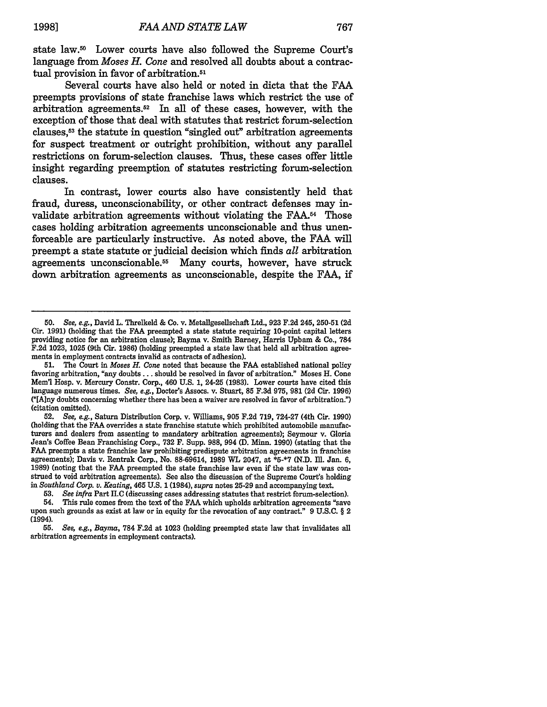state law.<sup>50</sup> Lower courts have also followed the Supreme Court's language from *Moses H. Cone* and resolved all doubts about a contractual provision in favor of arbitration.<sup>51</sup>

Several courts have also held or noted in dicta that the FAA preempts provisions of state franchise laws which restrict the use of arbitration agreements. $52$  In all of these cases, however, with the exception of those that deal with statutes that restrict forum-selection clauses, <sup>5</sup> 3 the statute in question "singled out" arbitration agreements for suspect treatment or outright prohibition, without any parallel restrictions on forum-selection clauses. Thus, these cases offer little insight regarding preemption of statutes restricting forum-selection clauses.

In contrast, lower courts also have consistently held that fraud, duress, unconscionability, or other contract defenses may invalidate arbitration agreements without violating the FAA.<sup>54</sup> Those cases holding arbitration agreements unconscionable and thus unenforceable are particularly instructive. As noted above, the FAA will preempt a state statute or judicial decision which finds *all* arbitration agreements unconscionable.<sup>55</sup> Many courts, however, have struck down arbitration agreements as unconscionable, despite the FAA, if

**53.** *See infra* Part H.C (discussing cases addressing statutes that restrict forum-selection).

*<sup>50.</sup> See, e.g.,* David L. Threlkeld & Co. v. Metallgesellschaft Ltd., 923 F.2d 245, 250-51 (2d Cir. 1991) (holding that the FAA preempted a state statute requiring 10-point capital letters providing notice for an arbitration clause); Bayma v. Smith Barney, Harris Upham & Co., 784 **F.2d** 1023, 1025 (9th Cir. 1986) (holding preempted a state law that held all arbitration agreements in employment contracts invalid as contracts of adhesion).

**<sup>51.</sup>** The Court in *Moses H. Cone* noted that because the **FAA** established national policy favoring arbitration, "any **doubts...** should be resolved in favor of arbitration." Moses H. Cone **Mem'l** Hosp. v. Mercury Constr. Corp., 460 **U.S. 1,** 24-25 **(1983).** Lower courts have cited this language numerous times. *See, e.g.,* Doctor's Assocs. v. Stuart, **85 F.3d 975, 981 (2d** Cir. **1996) ("[A]ny** doubts concerning whether there has been a waiver are resolved in favor of arbitration.") (citation omitted).

**<sup>52.</sup>** *See, e.g.,* Saturn Distribution Corp. v. Williams, **905 F.2d 719, 724-27** (4th Cir. **1990)** (holding that the **FAA** overrides a state franchise statute which prohibited automobile manufacturers and dealers from assenting to mandatory arbitration agreements); Seymour v. Gloria Jean's Coffee Bean Franchising Corp., **732** F. Supp. **988,** 994 **(D.** Minn. **1990)** (stating that the **FAA** preempts a state franchise law prohibiting predispute arbitration agreements in franchise agreements); Davis v. Rentrak Corp., No. **88-69614, 1989** WL 2047, at **\*5-\*7 (N.D.** Ill. Jan. **6, 1989)** (noting that the **FAA** preempted the state franchise law even if the state law was construed to void arbitration agreements). See also the discussion of the Supreme Court's holding *in Southland Corp. v. Keating,* 465 **U.S.** 1 (1984), *supra* notes **25-29** and accompanying text.

<sup>54.</sup> This rule comes from the text of the **FAA** which upholds arbitration agreements "save upon such grounds as **exist** at law or in equity for the revocation of any contract." **9 U.S.C.** § 2 (1994).

**<sup>55.</sup>** *See, e.g., Bayma,* **784 F.2d** at **1023** (holding preempted state law that invalidates all arbitration agreements in employment contracts).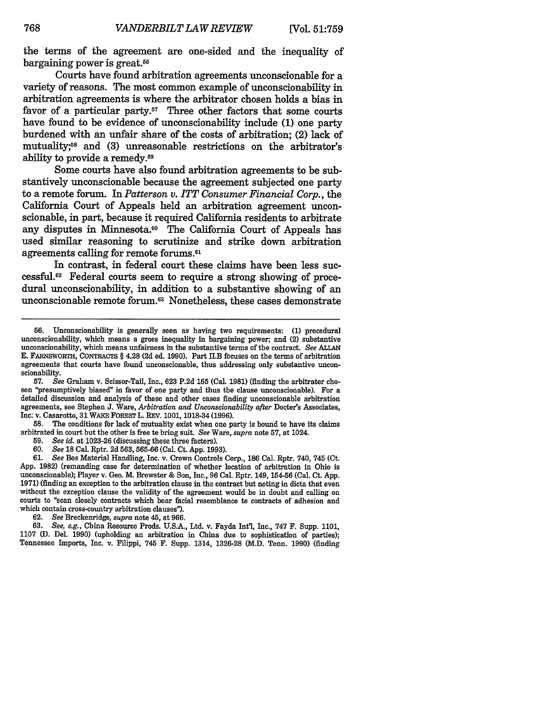the terms of the agreement are one-sided and the inequality of bargaining power is great.<sup>56</sup>

Courts have found arbitration agreements unconscionable for a variety of reasons. The most common example of unconscionability in arbitration agreements is where the arbitrator chosen holds a bias in favor of a particular party.<sup>57</sup> Three other factors that some courts have found to be evidence of unconscionability include (1) one party burdened with an unfair share of the costs of arbitration; (2) lack of mutuality;<sup>58</sup> and (3) unreasonable restrictions on the arbitrator's ability to provide a remedy.<sup>59</sup>

Some courts have also found arbitration agreements to be substantively unconscionable because the agreement subjected one party to a remote forum. In *Patterson v. ITT Consumer Financial Corp.,* the California Court of Appeals held an arbitration agreement unconscionable, in part, because it required California residents to arbitrate any disputes in Minnesota.<sup>60</sup> The California Court of Appeals has used similar reasoning to scrutinize and strike down arbitration agreements calling for remote forums. <sup>61</sup>

In contrast, in federal court these claims have been less successful. 62 Federal courts seem to require a strong showing of procedural unconscionability, in addition to a substantive showing of an unconscionable remote forum.63 Nonetheless, these cases demonstrate

**57.** *See* Graham v. Scissor-Tail, Inc., 623 P.2d **165** (Cal. 1981) (finding the arbitrator chosen "presumptively biased" in favor of one party and thus the clause unconscionable). For a detailed discussion and analysis of these and other cases finding unconscionable arbitration agreements, see Stephen J. Ware, *Arbitration and Unconscionability after* Doctor's Associates, Inc: v. Casarotto, 31 WAKE FOREST L. REv. 1001, 1018-34 (1996).

**58.** The conditions for lack of mutuality exist when one party is bound to have its claims arbitrated in court but the other is free to bring suit. *See* Ware, *supra* note **57,** at 1024.

59. *See id.* at 1023-26 (discussing these three facters).

60. *See* 18 Cal. Rptr. 2d 563, 565-66 (Cal. Ct. App. 1993).

61. *See* **Bos** Material Handling, Inc. v. Crown Controls Corp., **186** Cal. Rptr. 740, 745 (Ct. App. 1982) (remanding case for determination of whether location of arbitration in Ohio is unconscionable); Player v. Geo. M. Brewster & Son, Inc., 96 Cal. Rptr. 149, 154-56 (Cal. Ct. App. 1971) (finding an exception to the arbitration clause in the contract but noting in dicta that even without the exception clause the validity of the agreement would be in doubt and calling on courts to "scan closely contracts which bear facial resemblance to contracts of adhesion and which contain cross-country arbitration clauses").

62. *See* Breckenridge, *supra* note 45, at 966.

63. *See, e.g.,* China Resource Prods. U.S.A-, Ltd. v. Fayda Int'l, Inc., **747** F. Supp. 1101, 1107 **(D.** Del. 1990) (upholding an arbitration in China due to sophistication of parties); Tennessee Imports, Inc. v. Filippi, 745 F. Supp. 1314, 1326-28 (M.D. Tenn. 1990) (finding

<sup>56.</sup> Unconscionability is generally seen as having two requirements: (1) procedural unconscionability, which means a gross inequality in bargaining power; and (2) substantive unconscionability, which means unfairness in the substantive terms of the contract. *See* **ALLAN** E. FARNSWORTH, CoNTRAcTs § 4.28 (2d ed. 1990). Part **H.B** focuses on the terms of arbitration agreements that courts have found unconscionable, thus addressing only substantive unconscionability.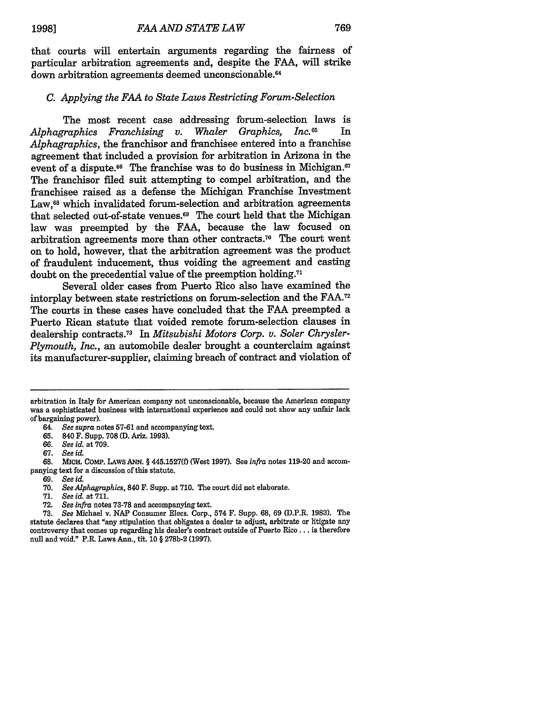that courts will entertain arguments regarding the fairness of particular arbitration agreements and, despite the FAA, will strike down arbitration agreements deemed unconscionable.<sup>64</sup>

#### *C. Applying the FAA to State Laws Restricting Forum-Selection*

The most recent case addressing forum-selection laws is<br>trappics  $Franchising$  v Whaler Graphics, Inc.<sup>65</sup> In *Alphagraphics Franchising v. Whaler Graphics, Inc.*<sup>65</sup> *Alphagraphics,* the franchisor and franchisee entered into a franchise agreement that included a provision for arbitration in Arizona in the event of a dispute. $66$  The franchise was to do business in Michigan. $67$ The franchisor filed suit attempting to compel arbitration, and the franchisee raised as a defense the Michigan Franchise Investment Law.<sup>68</sup> which invalidated forum-selection and arbitration agreements that selected out-of-state venues. 69 The court held that the Michigan law was preempted by the FAA, because the law focused on arbitration agreements more than other contracts.70 The court went on to hold, however, that the arbitration agreement was the product of fraudulent inducement, thus voiding the agreement and casting doubt on the precedential value of the preemption holding.<sup>71</sup>

Several older cases from Puerto Rico also have examined the intorplay between state restrictions on forum-selection and the FAA.<sup>72</sup> The courts in these cases have concluded that the FAA preempted a Puerto Rican statute that voided remote forum-selection clauses in dealership contracts.73 In *Mitsubishi Motors Corp. v. Soler Chrysler-Plymouth, Inc.,* an automobile dealer brought a counterclaim against its manufacturer-supplier, claiming breach of contract and violation of

arbitration in Italy for American company not unconscionable, because the American company was a sophisticated business with international experience and could not show any unfair lack of bargaining power).

64. *See supra* notes 57-61 and accompanying text.

**65.** 840 F. Supp. **708 (D.** Ariz. 1993).

66. *See id.* at 709.

67. *See id.*

68. MICH. COMP. LAWS **ANN.** § **445.1527(f)** (West 1997). See *infra* notes 119-20 and accompanying text for a discussion of this statute.

69. *See id.*

**70.** *See Alphagraphics,* 840 F. Supp. at 710. The court did not elaborate.

**71.** *See id.* at **711.**

72. *See infra* notes 73-78 and accompanying text.

**73.** *See* Michael v. NAP Consumer Elecs. Corp., 574 F. Supp. 68, 69 (D.P.R. 1983). The statute declares that "any stipulation that obligates a dealer to adjust, arbitrate or litigate any controversy that comes up regarding his dealer's contract outside of Puerto Rico... is therefore null and void." P.R. Laws Ann., tit. 10 § 278b-2 (1997).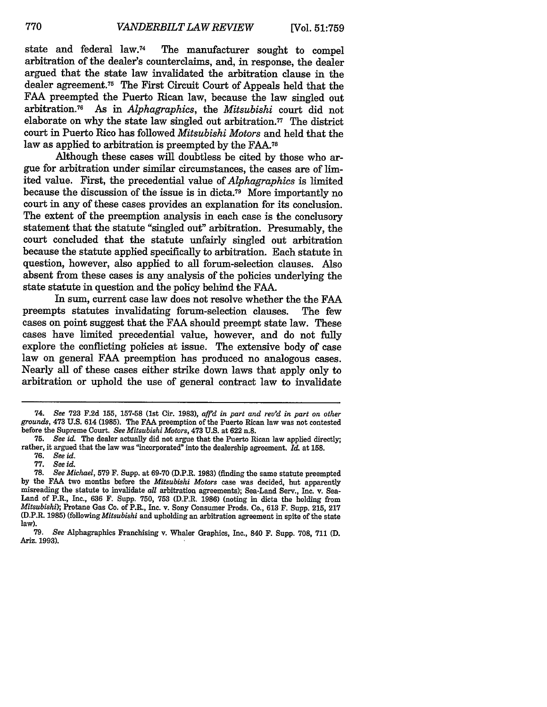state and federal law.74 The manufacturer sought to compel arbitration of the dealer's counterclaims, and, in response, the dealer argued that the state law invalidated the arbitration clause in the dealer agreement.75 The First Circuit Court of Appeals held that the FAA preempted the Puerto Rican law, because the law singled out arbitration.76 As in *Alphagraphics,* the *Mitsubishi* court did not elaborate on why the state law singled out arbitration.77 The district court in Puerto Rico has followed *Mitsubishi Motors* and held that the law as applied to arbitration is preempted by the FAA.<sup>78</sup>

Although these cases will doubtless be cited by those who argue for arbitration under similar circumstances, the cases are of limited value. First, the precedential value of *Alphagraphics* is limited because the discussion of the issue is in dicta.79 More importantly no court in any of these cases provides an explanation for its conclusion. The extent of the preemption analysis in each case is the conclusory statement that the statute "singled out" arbitration. Presumably, the court concluded that the statute unfairly singled out arbitration because the statute applied specifically to arbitration. Each statute in question, however, also applied to all forum-selection clauses. Also absent from these cases is any analysis of the policies underlying the state statute in question and the policy behind the **FAA.**

In sum, current case law does not resolve whether the the FAA preempts statutes invalidating forum-selection clauses. The few cases on point suggest that the FAA should preempt state law. These cases have limited precedential value, however, and do not fully explore the conflicting policies at issue. The extensive body of case law on general FAA preemption has produced no analogous cases. Nearly all of these cases either strike down laws that apply only to arbitration or uphold the use of general contract law to invalidate

<sup>74.</sup> *See* **723 F.2d 155, 157-58** (1st Cir. **1983),** *affid in part and rev'd in part on other grounds,* 473 U.S. 614 **(1985).** The **FAA** preemption of the Puerto Rican law was not contested before the Supreme Court. *See Mitsubishi Motors,* 473 U.S. at 622 n.8.

**<sup>75.</sup>** *See id.* The dealer actually did not argue that the Puerto Rican law applied directly; rather, it argued that the law was "incorporated" into the dealership agreement. *Id.* at **158.**

**<sup>76.</sup>** *See id.*

**<sup>77.</sup>** *See id.*

<sup>78.</sup> *See Michael,* **579** F. Supp. at 69-70 (D.P.R. **1983)** (finding the same statute preempted by the **FAA** two months before the *Mitsubishi Motors* case was decided, but apparently misreading the statute to invalidate *all* arbitration agreements); Sea-Land Serv., Inc. v. Sea-Land of P.R., Inc., 636 F. Supp. 750, **753** (D.P.R. 1986) (noting in dicta the holding from *Mitsubishi);* Protane Gas Co. of P.R., Inc. v. Sony Consumer Prods. Co., 613 F. Supp. 215, 217 (D.P.R. **1985)** *(following Mitsubishi* and upholding an arbitration agreement in spite of the state law).

<sup>79.</sup> *See* Alphagraphics Franchising v. Whaler Graphics, Inc., 840 F. Supp. 708, **711 (D.** Ariz. 1993).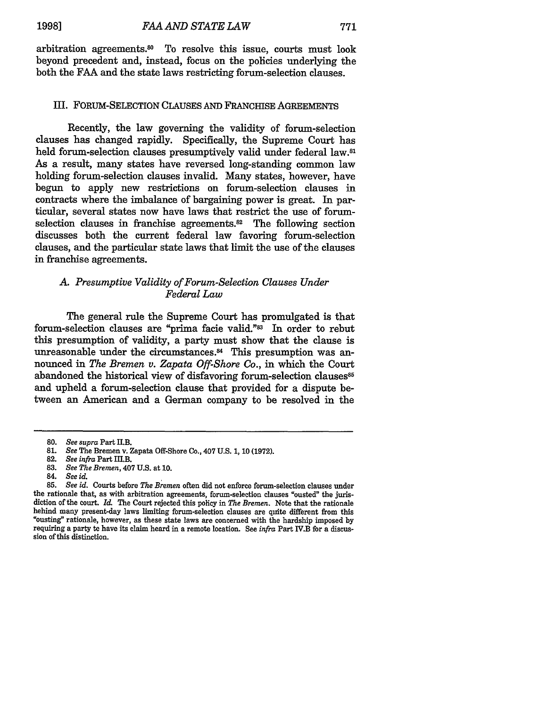arbitration agreements.<sup>30</sup> To resolve this issue, courts must look beyond precedent and, instead, focus on the policies underlying the both the FAA and the state laws restricting forum-selection clauses.

#### III. FORUM-SELECTION CLAUSES AND FRANCHISE AGREEMENTS

Recently, the law governing the validity of forum-selection clauses has changed rapidly. Specifically, the Supreme Court has held forum-selection clauses presumptively valid under federal law.<sup>81</sup> As a result, many states have reversed long-standing common law holding forum-selection clauses invalid. Many states, however, have begun to apply new restrictions on forum-selection clauses in contracts where the imbalance of bargaining power is great. In particular, several states now have laws that restrict the use of forumselection clauses in franchise agreements.<sup>82</sup> The following section discusses both the current federal law favoring forum-selection clauses, and the particular state laws that limit the use of the clauses in franchise agreements.

# *A. Presumptive Validity of Forum-Selection Clauses Under Federal Law*

The general rule the Supreme Court has promulgated is that forum-selection clauses are "prima facie valid."<sup>83</sup> In order to rebut this presumption of validity, a party must show that the clause is unreasonable under the circumstances.<sup>84</sup> This presumption was announced in *The Bremen v. Zapata Off-Shore Co.,* in which the Court abandoned the historical view of disfavoring forum-selection clauses<sup>85</sup> and upheld a forum-selection clause that provided for a dispute between an American and a German company to be resolved in the

**<sup>80.</sup>** *See supra* Part H.B.

**<sup>81.</sup>** *See* The Bremen v. Zapata Off-Shore Co., 407 U.S. 1, **10** (1972).

**<sup>82.</sup>** *See infra* Part **HI.B.**

<sup>83.</sup> *See The Bremen,* 407 U.S. at **10.**

<sup>84.</sup> *See id.*

**<sup>85.</sup>** *See id.* Courts before The *Bremen* often did not enforce forum-selection clauses under the rationale that, as with arbitration agreements, forum-selection clauses "ousted" the jurisdiction of the court. *Id.* The Court rejected this policy in *The Bremen.* Note that the rationale behind many present-day laws limiting forum-selection clauses are quite different from this "ousting" rationale, however, as these state laws are concerned with the hardship imposed by requiring a party to have its claim heard in a remote location. See *infra* Part 1V.B for a discussion of this distinction.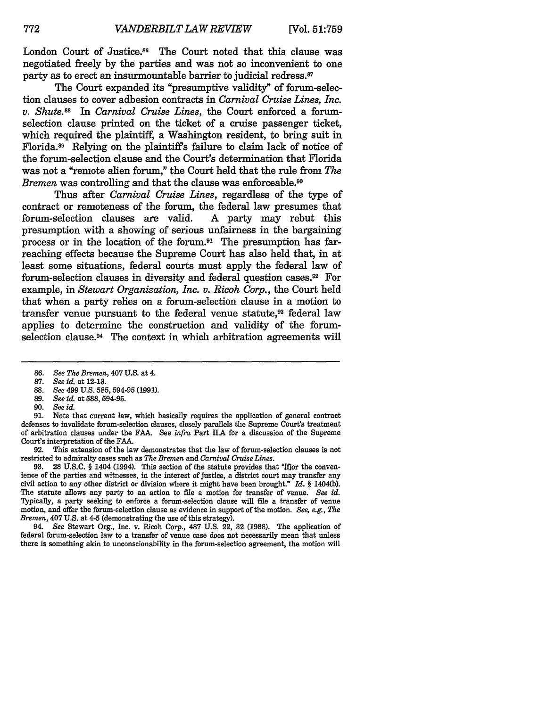London Court of Justice.<sup>86</sup> The Court noted that this clause was negotiated freely by the parties and was not so inconvenient to one party as to erect an insurmountable barrier to judicial redress.<sup>87</sup>

The Court expanded its "presumptive validity" of forum-selection clauses to cover adhesion contracts in *Carnival Cruise Lines, Inc. v. Shute.88 In Carnival Cruise Lines,* the Court enforced a forumselection clause printed on the ticket of a cruise passenger ticket, which required the plaintiff, a Washington resident, to bring suit in Florida.89 Relying on the plaintiffs failure to claim lack of notice of the forum-selection clause and the Court's determination that Florida was not a "remote alien forum," the Court held that the rule from *The Bremen* was controlling and that the clause was enforceable.<sup>90</sup>

Thus after *Carnival Cruise Lines,* regardless of the type of contract or remoteness of the forum, the federal law presumes that forum-selection clauses are valid. A party may rebut this forum-selection clauses are valid. presumption with a showing of serious unfairness in the bargaining process or in the location of the forum.<sup>91</sup> The presumption has farreaching effects because the Supreme Court has also held that, in at least some situations, federal courts must apply the federal law of forum-selection clauses in diversity and federal question cases.92 For example, in *Stewart Organization, Inc. v. Ricoh Corp.,* the Court held that when a party relies on a forum-selection clause in a motion to transfer venue pursuant to the federal venue statute,<sup>93</sup> federal law applies to determine the construction and validity of the forumselection clause.<sup>94</sup> The context in which arbitration agreements will

**91.** Note that current law, which basically requires the application of general contract defenses to invalidate forum-selection clauses, closely parallels the Supreme Court's treatment of arbitration clauses under the FAA. See *infra* Part I.A for a discussion of the Supreme Court's interpretation of the FAA.

92. This extension of the law demonstrates that the law of forum-selection clauses is not restricted to admiralty cases such as *The Bremen* and *Carnival Cruise Lines.*

93. 28 U.S.C. § 1404 (1994). This section of the statute provides that "[flor the convenience of the parties and witnesses, in the interest of justice, a district court may transfer any civil action to any other district or division where it might have been brought." *Id.* § 1404(b). The statute allows any party to an action to file a motion for transfer of venue. *See id.* Typically, a party seeking to enforce a forum-selection clause will file a transfer of venue motion, and offer the forum-selection clause as evidence in support of the motion. *See, e.g., The Bremen,* 407 U.S. at 4-5 (demonstrating the use of this strategy).

94. *See* Stewart Org., Inc. v. Ricoh Corp., 487 U.S. 22, 32 (1988). The application of federal forum-selection law to a transfer of venue case does not necessarily mean that unless there is something akin to unconscionability in the forum-selection agreement, the motion will

<sup>86.</sup> *See The Bremen,* 407 U.S. at 4.

**<sup>87.</sup>** *See id.* at 12-13.

<sup>88.</sup> *See* 499 U.S. **585, 594-95 (1991).**

<sup>89.</sup> *See id.* at 588, **594-95.**

<sup>90.</sup> *See id.*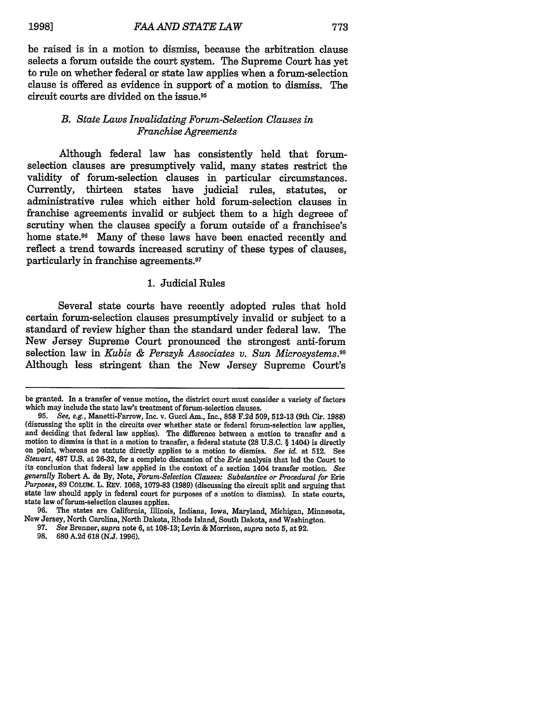be raised is in a motion to dismiss, because the arbitration clause selects a forum outside the court system. The Supreme Court has yet to rule on whether federal or state law applies when a forum-selection clause is offered as evidence in support of a motion to dismiss. The circuit courts are divided on the issue.95

## *B. State Laws Invalidating Forum-Selection Clauses in Franchise Agreements*

Although federal law has consistently held that forumselection clauses are presumptively valid, many states restrict the validity of forum-selection clauses in particular circumstances. Currently, thirteen states have judicial rules, statutes, or administrative rules which either hold forum-selection clauses in franchise agreements invalid or subject them to a high degreee of scrutiny when the clauses specify a forum outside of a franchisee's home state.<sup>96</sup> Many of these laws have been enacted recently and reflect a trend towards increased scrutiny of these types of clauses, particularly in franchise agreements.<sup>97</sup>

#### 1. Judicial Rules

Several state courts have recently adopted rules that hold certain forum-selection clauses presumptively invalid or subject to a standard of review higher than the standard under federal law. The New Jersey Supreme Court pronounced the strongest anti-forum selection law in *Kubis & Perszyk Associates v. Sun Microsystems.98* Although less stringent than the New Jersey Supreme Court's

be granted. In a transfer of venue motion, the district court must consider a variety of factors which may include the state law's treatment of forum-selection clauses.

**<sup>95.</sup>** *See, e.g.,* Manetti-Farrow, Inc. v. Gucci Am., Inc., **858** F.2d 509, 512-13 (9th Cir. 1988) (discussing the split in the circuits over whether state or federal forum-selection law applies, motion to dismiss is that in a motion to transfer, a federal statute  $(28 \text{ U.S.C.} \S 1404)$  is directly on point, whereas no statute directly applies to a motion to dismiss. See id. at 512. See *Stewart,* **487** U.S. at 26-32, for a complete discussion of the *Erie* analysis that led the Court to its conclusion that federal law applied in the context of a section 1404 transfer motion. *See generally Robert A.* de By, Note, *Forum-Selection Clauses: Substantive or Procedural for* Erie *Purposes,* 89 COLUM. L. REv. 1068, 1079-83 (1989) (discussing the circuit split and arguing that state law should apply in federal court for purposes of a motion to dismiss). In state courts, state law of forum-selection clauses applies.

<sup>96.</sup> The states are California, Illinois, Indiana, Iowa, Maryland, Michigan, Minnesota, New Jersey, North Carolina, North Dakota, Rhode Island, South Dakota, and Washington.

<sup>97.</sup> *See* Brenner, *supra* note 6, at 108-13; Levin & Morrison, *supra* note **5,** at 92.

**<sup>98. 680</sup>** A.2d 618 (N.J. 1996).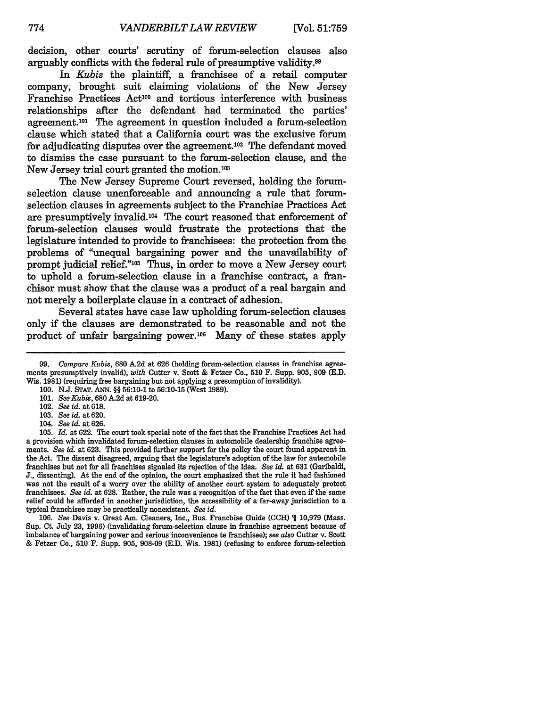decision, other courts' scrutiny of forum-selection clauses also arguably conflicts with the federal rule of presumptive validity.99

*In Kubis* the plaintiff, a franchisee of a retail computer company, brought suit claiming violations of the New Jersey Franchise Practices Act<sup>100</sup> and tortious interference with business relationships after the defendant had terminated the parties' agreement.10' The agreement in question included a forum-selection clause which stated that a California court was the exclusive forum for adjudicating disputes over the agreement.<sup>102</sup> The defendant moved to dismiss the case pursuant to the forum-selection clause, and the New Jersey trial court granted the motion.<sup>103</sup>

The New Jersey Supreme Court reversed, holding the forumselection clause unenforceable and announcing a rule that forumselection clauses in agreements subject to the Franchise Practices Act are presumptively invalid.'04 The court reasoned that enforcement of forum-selection clauses would frustrate the protections that the legislature intended to provide to franchisees: the protection from the problems of "unequal bargaining power and the unavailability of prompt judicial relief."<sup>105</sup> Thus, in order to move a New Jersey court to uphold a forum-selection clause in a franchise contract, a franchisor must show that the clause was a product of a real bargain and not merely a boilerplate clause in a contract of adhesion.

Several states have case law upholding forum-selection clauses only if the clauses are demonstrated to be reasonable and not the product of unfair bargaining power.<sup>106</sup> Many of these states apply

103. *See id.* at 620.

105. *Id.* at 622. The court took special note of the fact that the Franchise Practices Act had a provision which invalidated forum-selection clauses in automobile dealership franchise agreements. *See id.* at 623. This provided further support for the policy the court found apparent in the Act. The dissent disagreed, arguing that the legislature's adoption of the law for automobile franchises but not for all franchises signaled its rejection of the idea. *See id.* at **631** (Garibaldi, J., dissenting). At the end of the opinion, the court emphasized that the rule it had fashioned was not the result of a worry over the ability of another court system to adequately protect franchisees. *See id.* at 628. Rather, the rule was a recognition of the fact that even if the same relief could be afforded in another jurisdiction, the accessibility of a far-away jurisdiction to a typical franchisee may be practically nonexistent. *See id.*

106. *See* Davis v. Great Am. Cleaners, Inc., Bus. Franchise Guide **(CCH) 1** 10,979 (Mass. Sup. Ct. July 23, 1996) (invalidating forum-selection clause in franchise agreement because of imbalance of bargaining power and serious inconvenience to franchisee); *see also* Cutter v. Scott & Fetzer Co., **510** F. Supp. 905, 908-09 (E.D. Wis. **1981)** (refusing to enforce forum-selection

*<sup>99.</sup> Compare Kubis,* 680 A.2d at 626 (holding forum-selection clauses in franchise agreements presumptively invalid), *with* Cutter v. Scott & Fetzer Co., 510 F. Supp. 905, 909 (E.D. Wis. **1981)** (requiring free bargaining but not applying a presumption of invalidity).

**<sup>100.</sup> N.J. STAT. ANN.** §§ 56:10-1 to 56:10-15 (West 1989).

<sup>101.</sup> *See Kubis,* 680 **A.2d** at 619-20.

<sup>102.</sup> *See id.* at 618.

<sup>104.</sup> *See id.* at 626.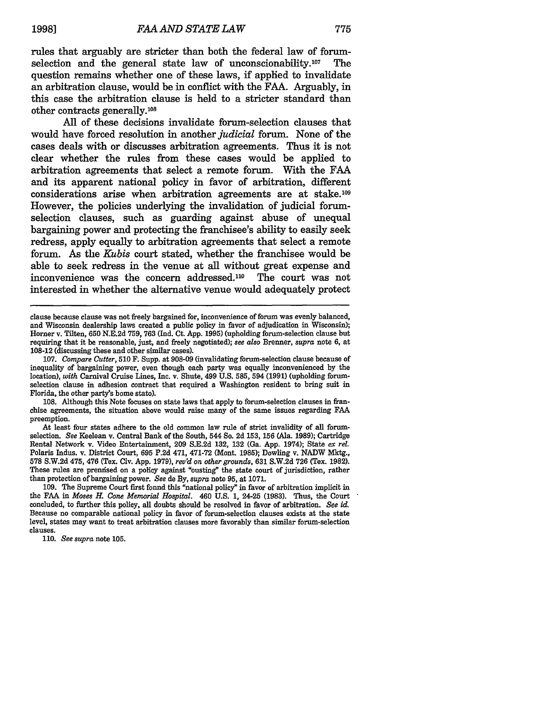rules that arguably are stricter than both the federal law of forumselection and the general state law of unconscionability.<sup>10</sup> 7 The question remains whether one of these laws, if applied to invalidate an arbitration clause, would be in conflict with the FAA. Arguably, in this case the arbitration clause is held to a stricter standard than other contracts generally.<sup>108</sup>

All of these decisions invalidate forum-selection clauses that would have forced resolution in another *judicial* forum. None of the cases deals with or discusses arbitration agreements. Thus it is not clear whether the rules from these cases would be applied to arbitration agreements that select a remote forum. With the FAA and its apparent national policy in favor of arbitration, different  $considerations$  arise when arbitration agreements are at stake.<sup>109</sup> However, the policies underlying the invalidation of judicial forumselection clauses, such as guarding against abuse of unequal bargaining power and protecting the franchisee's ability to easily seek redress, apply equally to arbitration agreements that select a remote forum. As the *Kubis* court stated, whether the franchisee would be able to seek redress in the venue at all without great expense and inconvenience was the concern addressed.<sup>110</sup> The court was not interested in whether the alternative venue would adequately protect

108. Although this Note focuses on state laws that apply to forum-selection clauses in franchise agreements, the situation above would raise many of the same issues regarding FAA preemption.

At least four states adhere to the old common law rule of strict invalidity of all forumselection. *See* Keelean v. Central Bank of the South, 544 So. 2d 153, **156** (Ala. 1989); Cartridge Rental Network v. Video Entertainment, 209 S.E.2d 132, **132** (Ga. App. 1974); State *ex rel.* Polaris Indus. v. District Court, **695** P.2d 471, 471-72 (Mont. **1985);** Dowling v. NADW Mktg., **578** S.W.2d 475, 476 (Tex. Civ. App. 1979), *rev'd on other grounds,* 631 S.W.2d 726 (Tex. 1982). These rules are premised on a policy against "ousting" the state court of jurisdiction, rather than protection of bargaining power. *See* de By, *supra* note **95,** at 1071.

109. The Supreme Court first fonnd this "national policy" in favor of arbitration implicit in the **FAA** in *Moses H. Cone Memorial Hospital.* 460 U.S. 1, 24-25 (1983). Thus, the Court concluded, to further this policy, all doubts should be resolved in favor of arbitration. *See id.* Because no comparable national policy in favor of forum-selection clauses exists at the state level, states may want to treat arbitration clauses more favorably than similar forum-selection clauses.

**110.** *See supra* note **105.**

clause because clause was not freely bargained for, inconvenience of forum was evenly balanced, and Wisconsin dealership laws created a public policy in favor of adjudication in Wisconsin); Horner v. Tilten, 650 N.E.2d 759, 763 (Ind. Ct. App. 1995) (upholding forum-selection clause but requiring that it be reasonable, just, and freely negotiated); *see also* Brenner, *supra* note 6, at 108-12 (discussing these and other similar cases).

<sup>107.</sup> *Compare Cutter,* 510 **F.** Supp. at 908-09 (invalidating forum-selection clause because of inequality of bargaining power, even though each party was equally inconvenienced by the location), *with* Carnival Cruise Lines, Inc. v. Shute, 499 U.S. 585, 594 **(1991)** (upholding forumselection clause in adhesion contract that required a Washington resident to bring suit in Florida, the other party's home state).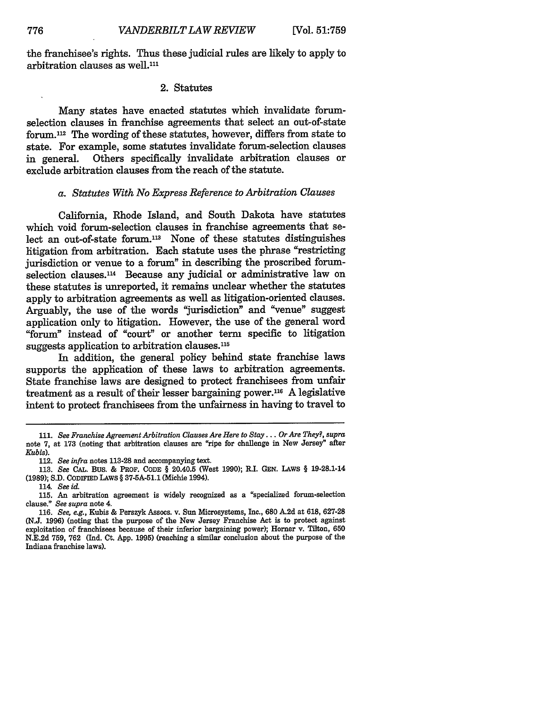the franchisee's rights. Thus these judicial rules are likely to apply to arbitration clauses as well.<sup>111</sup>

#### 2. Statutes

Many states have enacted statutes which invalidate forumselection clauses in franchise agreements that select an out-of-state forum.<sup>112</sup> The wording of these statutes, however, differs from state to state. For example, some statutes invalidate forum-selection clauses Others specifically invalidate arbitration clauses or exclude arbitration clauses from the reach of the statute.

#### *a. Statutes With No Express Reference to Arbitration Clauses*

California, Rhode Island, and South Dakota have statutes which void forum-selection clauses in franchise agreements that select an out-of-state forum.<sup>113</sup> None of these statutes distinguishes litigation from arbitration. Each statute uses the phrase "restricting jurisdiction or venue to a forum" in describing the proscribed forumselection clauses.<sup>114</sup> Because any judicial or administrative law on these statutes is unreported, it remains unclear whether the statutes apply to arbitration agreements as well as litigation-oriented clauses. Arguably, the use of the words "jurisdiction" and "venue" suggest application only to hitigation. However, the use of the general word "forum" instead of "court" or another term specific to litigation suggests application to arbitration clauses.<sup>115</sup>

In addition, the general policy behind state franchise laws supports the application of these laws to arbitration agreements. State franchise laws are designed to protect franchisees from unfair treatment as a result of their lesser bargaining power.<sup>116</sup> A legislative intent to protect franchisees from the unfairness in having to travel to

<sup>111.</sup> *See Franchise Agreement Arbitration Clauses Are Here to Stay... Or Are They?, supra* note **7,** at **173** (noting that arbitration clauses are "ripe for challenge in New Jersey" after *Kubis).*

<sup>112.</sup> *See infra* notes **113-28** and accompanying text.

<sup>113.</sup> *See* **CAL.** Bus. & PROF. **CODE** § 20.40.5 (West 1990); R.I. GEN. LAWS § 19-28.1-14 **(1989);** S.D. **CODIFIED** LAWS § 37-5A-51.1 (Michie 1994).

<sup>114.</sup> *See id.*

**<sup>115.</sup>** An arbitration agreement is widely recognized as a "specialized forum-selection clause." *See supra* note 4.

<sup>116.</sup> *See, e.g.,* Kubis & Perszyk Assocs. v. Sun Microsystems, Inc., **680** A.2d at **618,** 627-28 (N.J. 1996) (noting that the purpose of the New Jersey Franchise Act is to protect against exploitation of franchisees because of their inferior bargaining power); Homer v. Tilton, **650** N.E.2d 759, 762 (Ind. Ct. App. **1995)** (reaching a similar conclusion about the purpose of the Indiana franchise laws).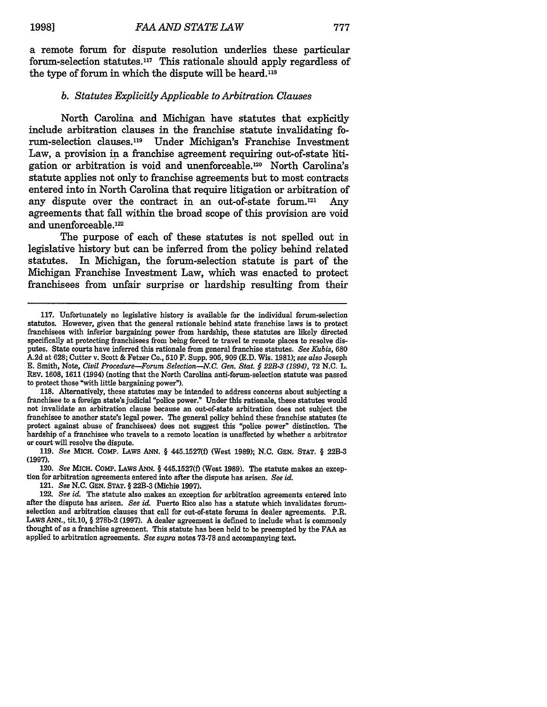a remote forum for dispute resolution underlies these particular forum-selection statutes.<sup>117</sup> This rationale should apply regardless of the type of forum in which the dispute will be heard.<sup>118</sup>

#### *b. Statutes Explicitly Applicable to Arbitration Clauses*

North Carolina and Michigan have statutes that explicitly include arbitration clauses in the franchise statute invalidating forum-selection clauses.<sup>119</sup> Under Michigan's Franchise Investment Law, a provision in a franchise agreement requiring out-of-state htigation or arbitration is void and unenforceable.<sup>120</sup> North Carolina's statute applies not only to franchise agreements but to most contracts entered into in North Carolina that require litigation or arbitration of any dispute over the contract in an out-of-state forum.<sup>121</sup> Any agreements that fall within the broad scope of this provision are void and unenforceable.<sup>122</sup>

The purpose of each of these statutes is not spelled out in legislative history but can be inferred from the policy behind related statutes. In Michigan, the forum-selection statute is part of the Michigan Franchise Investment Law, which was enacted to protect franchisees from unfair surprise or hardship resulting from their

franchisee to a foreign state's judicial "police power." Under this rationale, these statutes would not invalidate an arbitration clause because an out-of-state arbitration does not subject the franchisee to another state's legal power. The general policy behind these franchise statutes (to protect against abuse of franchisees) does not suggest this "police power" distinction. The hardship of a franchisee who travels to a remote location is unaffected by whether a arbitrator or court will resolve the dispute.

119. *See* MICH. CoMP. LAws ANN. § 445.1527(f) (West 1989); N.C. GEN. STAT. § 22B-3 (1997).

120. *See* MICH. COMP. LAWS ANN. § 445.1527(f) (West 1989). The statute makes an exception for arbitration agreements entered into after the dispute has arisen. *See id.*

121. *See* N.C. GEN. STAT. § 22B-3 (Michie 1997).

<sup>117.</sup> Unfortunately no legislative history is available for the individual forum-selection statutes. However, given that the general rationale behind state franchise laws is to protect franchisees with inferior bargaining power from hardship, these statutes are likely directed specifically at protecting franchisees from being forced te travel te remote places to resolve disputes. State courts have inferred this rationale from general franchise statutes. *See Kubis,* 680 A.2d at 628; Cutter v. Scott & Fetzer Co., 510 F. Supp. 905, 909 (E.D. Wis. 1981); *see also* Joseph E. Smith, Note, *Civil Procedure-Forum Selection-N.C. Gen. Stat. § 22B-3 (1994),* 72 N.C. L. REv. 1608, 1611 (1994) (noting that the North Carolina anti-forum-selection statute was passed to protect those "with little bargaining power").<br>118. Alternatively, these statutes may be intended to address concerns about subjecting a

<sup>122.</sup> *See id.* The statute also makes an exception for arbitration agreements entered into after the dispute has arisen. *See id.* Puerto Rico also has a statute which invalidates forumselection and arbitration clauses that call for out-of-state forums in dealer agreements. P.R. LAWS ANN., tit.10, § 278b-2 (1997). A dealer agreement is defined to include what is commonly thought of as a franchise agreement. This statute has been held to be preempted by the FAA as applied to arbitration agreements. *See supra* notes 73-78 and accompanying text.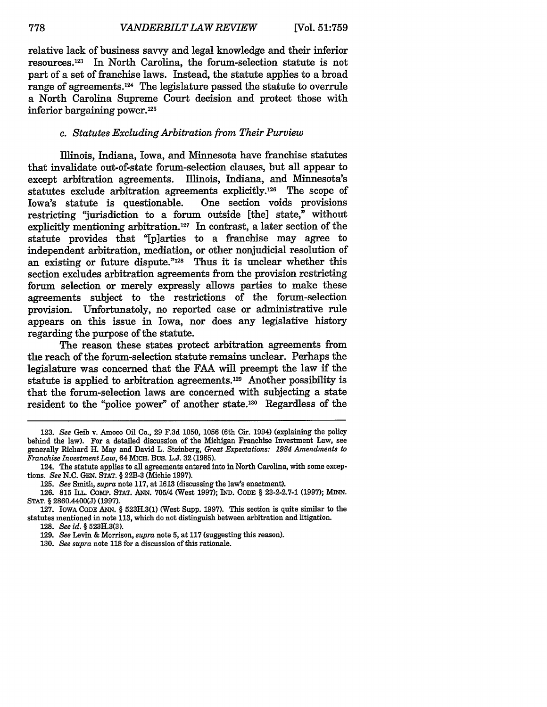relative lack of business savvy and legal knowledge and their inferior resources.<sup>123</sup> In North Carolina, the forum-selection statute is not part of a set of franchise laws. Instead, the statute applies to a broad range of agreements.<sup>124</sup> The legislature passed the statute to overrule a North Carolina Supreme Court decision and protect those with inferior bargaining power.<sup>125</sup>

#### *c. Statutes Excluding Arbitration from Their Purview*

Illinois, Indiana, Iowa, and Minnesota have franchise statutes that invalidate out-of-state forum-selection clauses, but all appear to except arbitration agreements. Illinois, Indiana, and Minnesota's statutes exclude arbitration agreements explicitly.1 26 The scope of Iowa's statute is questionable. One section voids provisions restricting "jurisdiction to a forum outside [the] state," without explicitly mentioning arbitration.<sup>127</sup> In contrast, a later section of the statute provides that "[p]arties to a franchise may agree to independent arbitration, mediation, or other nonjudicial resolution of an existing or future dispute."<sup>128</sup> Thus it is unclear whether this section excludes arbitration agreements from the provision restricting forum selection or merely expressly allows parties to make these agreements subject to the restrictions of the forum-selection provision. Unfortunately, no reported case or administrative rule appears on this issue in Iowa, nor does any legislative history regarding the purpose of the statute.

The reason these states protect arbitration agreements from the reach of the forum-selection statute remains unclear. Perhaps the legislature was concerned that the FAA will preempt the law if the statute is applied to arbitration agreements.<sup>129</sup> Another possibility is that the forum-selection laws are concerned with subjecting a state resident to the "police power" of another state.<sup>130</sup> Regardless of the

<sup>123.</sup> *See* Geib v. Amoco Oil Co., 29 F.3d 1050, 1056 (6th Cir. 1994) (explaining the policy behind the law). For a detailed discussion of the Michigan Franchise Investment Law, see generally Richard H. May and David L. Steinberg, *Great Expectations: 1984 Amendments to Franchise Investment Law,* 64 **MICH.** BUS. L.J. 32 (1985).

<sup>124.</sup> The statute applies to all agreements entered into in North Carolina, with some exceptions. *See* N.C. GEN. STAT. § 22B-3 (Michie 1997).

**<sup>125.</sup>** *See* Smith, *supra* note 117, at 1613 (discussing the law's enactment).

<sup>126. 815</sup> ILL. COMP. STAT. ANN. 705/4 (West 1997); IND. CODE § 23-2-2.7-1 (1997); **MINN.** STAT. § 2860.4400(J) (1997).

<sup>127.</sup> IOwA CODE ANN. § 523H.3(1) (West Supp. 1997). This section is quite similar to the statutes mentioned in note 113, which do not distinguish between arbitration and litigation.

<sup>128.</sup> *See id. §* 523H.3(3).

<sup>129.</sup> *See* Levin & Morrison, *supra* note **5,** at 117 (suggesting this reason).

<sup>130.</sup> *See supra* note 118 for a discussion of this rationale.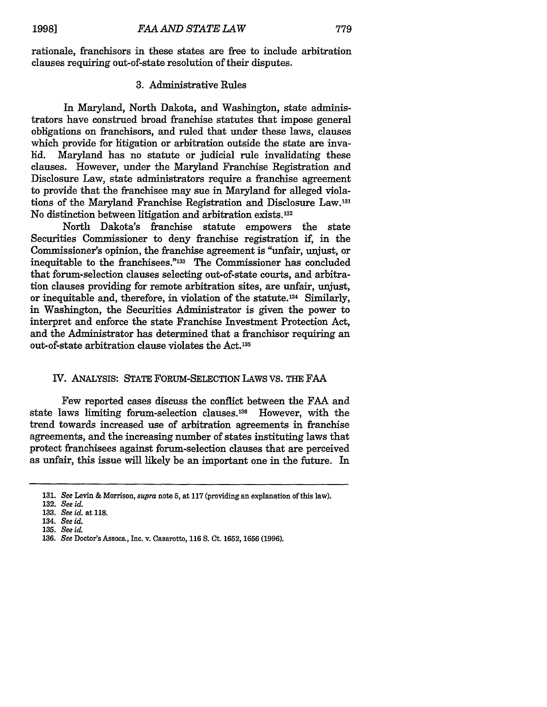rationale, franchisors in these states are free to include arbitration clauses requiring out-of-state resolution of their disputes.

#### 3. Administrative Rules

In Maryland, North Dakota, and Washington, state administrators have construed broad franchise statutes that impose general obligations on franchisors, and ruled that under these laws, clauses which provide for litigation or arbitration outside the state are invalid. Maryland has no statute or judicial rule invalidating these clauses. However, under the Maryland Franchise Registration and Disclosure Law, state administrators require a franchise agreement to provide that the franchisee may sue in Maryland for alleged violations of the Maryland Franchise Registration and Disclosure Law.<sup>131</sup> No distinction between litigation and arbitration exists. <sup>132</sup>

North Dakota's franchise statute empowers the state Securities Commissioner to deny franchise registration if, in the Commissioner's opinion, the franchise agreement is "unfair, unjust, or inequitable to the franchisees."<sup>133</sup> The Commissioner has concluded that forum-selection clauses selecting out-of-state courts, and arbitration clauses providing for remote arbitration sites, are unfair, unjust, or inequitable and, therefore, in violation of the statute.<sup>134</sup> Similarly, in Washington, the Securities Administrator is given the power to interpret and enforce the state Franchise Investment Protection Act, and the Administrator has determined that a franchisor requiring an out-of-state arbitration clause violates the Act.<sup>135</sup>

#### IV. ANALYSIS: STATE FORUM-SELECTION LAWS VS. THE FAA

Few reported cases discuss the conflict between the FAA and state laws limiting forum-selection clauses."36 However, with the trend towards increased use of arbitration agreements in franchise agreements, and the increasing number of states instituting laws that protect franchisees against forum-selection clauses that are perceived as unfair, this issue will likely be an important one in the future. In

- 133. *See id.* at **118.**
- 134. *See id.* **135.** *See id.*
- 136. *See* Doctor's Assocs., Inc. v. Casarotto, 116 S. Ct. 1652, 1656 (1996).

<sup>131.</sup> *See* Levin & Morrison, *supra* note 5, at **117** (providing an explanation of this law).

**<sup>132.</sup>** *See id.*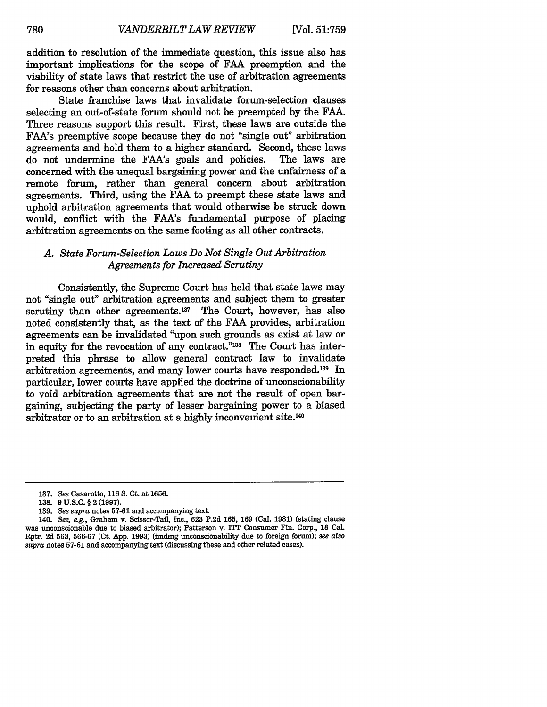addition to resolution of the immediate question, this issue also has important implications for the scope of **FAA** preemption and the viability of state laws that restrict the use of arbitration agreements for reasons other than concerns about arbitration.

State franchise laws that invalidate forum-selection clauses selecting an out-of-state forum should not be preempted **by** the **FAA.** Three reasons support this result. First, these laws are outside the FAA's preemptive scope because they do not "single out" arbitration agreements and hold them to a higher standard. Second, these laws<br>do not undermine the FAA's goals and policies. The laws are do not undermine the FAA's goals and policies. concerned with the unequal bargaining power and the unfairness of a remote forum, rather than general concern about arbitration agreements. Third, using the **FAA** to preempt these state laws and uphold arbitration agreements that would otherwise be struck down would, conflict with the FAA's fundamental purpose of placing arbitration agreements on the same footing as all other contracts.

# *A. State Forum-Selection Laws Do Not Single Out Arbitration Agreements for Increased Scrutiny*

Consistently, the Supreme Court has held that state laws may not "single out" arbitration agreements and subject them to greater scrutiny than other agreements.<sup>137</sup> The Court, however, has also noted consistently that, as the text of the FAA provides, arbitration agreements can be invalidated "upon such grounds as exist at law or in equity for the revocation of any contract."<sup>138</sup> The Court has interpreted this phrase to allow general contract law to invalidate arbitration agreements, and many lower courts have responded.<sup>139</sup> In particular, lower courts have applied the doctrine of unconscionability to void arbitration agreements that are not the result of open bargaining, subjecting the party of lesser bargaining power to a biased arbitrator or to an arbitration at a highly inconvenient site.140

<sup>137.</sup> *See* Casarotto, **116 S.** Ct. at 1656.

**<sup>138.</sup>** 9 **U.S.C.** § 2 (1997).

<sup>139.</sup> *See supra* notes 57-61 and accompanying text.

*<sup>140.</sup> See, e.g.,* Graham v. Scissor-Tail, Inc., 623 P.2d 165, 169 (Cal. 1981) (stating clause was unconscionable due to biased arbitrator); Patterson v. ITT Consumer Fin. Corp., **18** Cal. Rptr. 2d 563, 566-67 (Ct. App. 1993) (finding unconscionability due to foreign forum); *see also supra* notes 57-61 and accompanying text (discussing these and other related cases).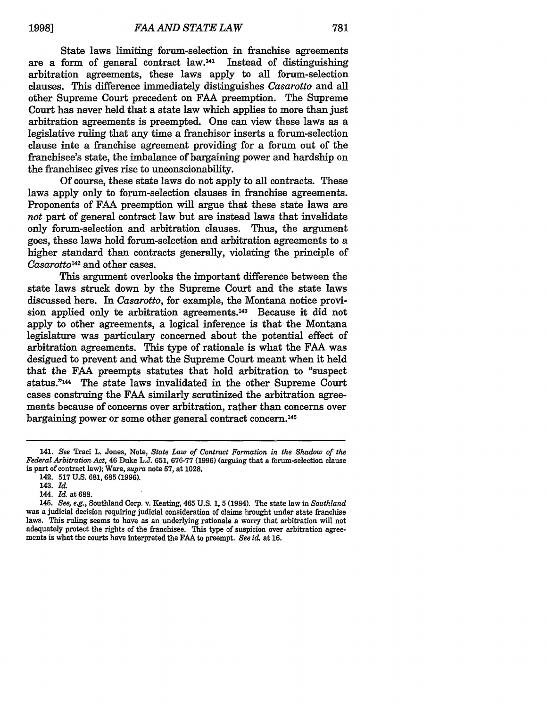State laws limiting forum-selection in franchise agreements are a form of general contract law.'4' Instead of distinguishing arbitration agreements, these laws apply to all forum-selection clauses. This difference immediately distinguishes *Casarotto* and all other Supreme Court precedent on FAA preemption. The Supreme Court has never held that a state law which applies to more than just arbitration agreements is preempted. One can view these laws as a legislative ruling that any time a franchisor inserts a forum-selection clause inte a franchise agreement providing for a forum out of the franchisee's state, the imbalance of bargaining power and hardship on the franchisee gives rise to unconscionability.

Of course, these state laws do not apply to all contracts. These laws apply only to forum-selection clauses in franchise agreements. Proponents of FAA preemption will argue that these state laws are *not* part of general contract law but are instead laws that invalidate only forum-selection and arbitration clauses. Thus, the argument goes, these laws hold forum-selection and arbitration agreements to a higher standard than contracts generally, violating the principle of *Casarotto42* and other cases.

This argument overlooks the important difference between the state laws struck down by the Supreme Court and the state laws discussed here. In *Casarotto,* for example, the Montana notice provision applied only te arbitration agreements.<sup>143</sup> Because it did not apply to other agreements, a logical inference is that the Montana legislature was particulary concerned about the potential effect of arbitration agreements. This type of rationale is what the FAA was designed to prevent and what the Supreme Court meant when it held that the FAA preempts statutes that hold arbitration to "suspect status."144 The state laws invalidated in the other Supreme Court cases construing the FAA similarly scrutinized the arbitration agreements because of concerns over arbitration, rather than concerns over bargaining power or some other general contract concern.145

<sup>141.</sup> *See* Traci L. Jones, Note, *State Law of Contract Formation in the Shadow of the Federal Arbitration Act,* 46 Duke **L.J. 651, 676-77 (1996)** (arguing that a forum-selection clause is part of contract law); Ware, *supra* note **57,** at 1028.

<sup>142.</sup> **517 U.S. 681, 685 (1996).**

<sup>143.</sup> *Id.*

<sup>144.</sup> *Id.* at **688.**

*<sup>145.</sup> See, e.g.,* Southland Corp. v. Keating, 465 U.S. 1, **5** (1984). The state law in *Southland* was a judicial decision requiring judicial consideration of claims brought under state franchise laws. This ruling seems to have as an underlying rationale a worry that arbitration will not adequately protect the rights of the franchisee. This type of suspicion over arbitration agreements is what the courts have interpreted the FAA to preempt. *See id.* at 16.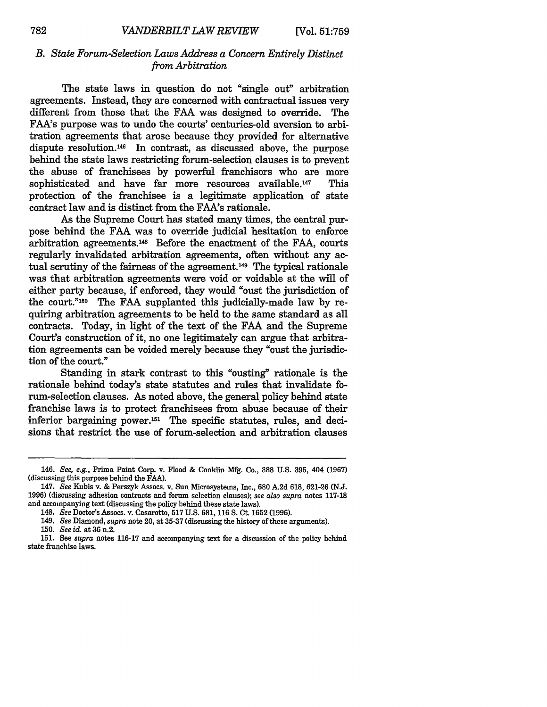# *B. State Forum-Selection Laws Address a Concern Entirely Distinct from Arbitration*

The state laws in question do not "single out" arbitration agreements. Instead, they are concerned with contractual issues very different from those that the FAA was designed to override. The FAA's purpose was to undo the courts' centuries-old aversion to arbitration agreements that arose because they provided for alternative dispute resolution.146 In contrast, as discussed above, the purpose behind the state laws restricting forum-selection clauses is to prevent the abuse of franchisees by powerful franchisors who are more sophisticated and have far more resources available.<sup>147</sup> This protection of the franchisee is a legitimate application of state contract law and is distinct from the FAA's rationale.

As the Supreme Court has stated many times, the central purpose behind the FAA was to override judicial hesitation to enforce arbitration agreements. 48 Before the enactment of the FAA, courts regularly invalidated arbitration agreements, often without any actual scrutiny of the fairness of the agreement.<sup>149</sup> The typical rationale was that arbitration agreements were void or voidable at the wil of either party because, if enforced, they would "oust the jurisdiction of the court."15O The **FAA** supplanted this judicially-made law by requiring arbitration agreements to be held to the same standard as all contracts. Today, in light of the text of the FAA and the Supreme Court's construction of it, no one legitimately can argue that arbitration agreements can be voided merely because they "oust the jurisdiction of the court."

Standing in stark contrast to this "ousting" rationale is the rationale behind today's state statutes and rules that invalidate forum-selection clauses. As noted above, the general policy behind state franchise laws is to protect franchisees from abuse because of their inferior bargaining power.<sup>151</sup> The specific statutes, rules, and decisions that restrict the use of forum-selection and arbitration clauses

*<sup>146.</sup> See, e.g.,* Prima Paint Corp. v. Flood & Conklin Mfg. Co., **388** U.S. 395, 404 (1967) (discussing this purpose behind the FAA).

<sup>147.</sup> *See* Kubis v. & Perszyk Assocs. v. Sun Microsystems, Inc., 680 A.2d 618, 621-26 (N.J. 1996) (discussing adhesion contracts and forum selection clauses); *see also supra* notes 117-18 and accompanying text (discussing the policy behind these state laws).

<sup>148.</sup> *See* Doctor's Assocs. v. Casarotto, **517** U.S. **681,** 116 **S.** Ct. **1652** (1996).

<sup>149.</sup> *See* Diamond, supra note 20, at 35-37 (discussing the history of these arguments).

<sup>150.</sup> *See id.* at 36 n.2.

<sup>151.</sup> See *supra* notes 116-17 and accompanying text for a discussion of the policy behind state franchise laws.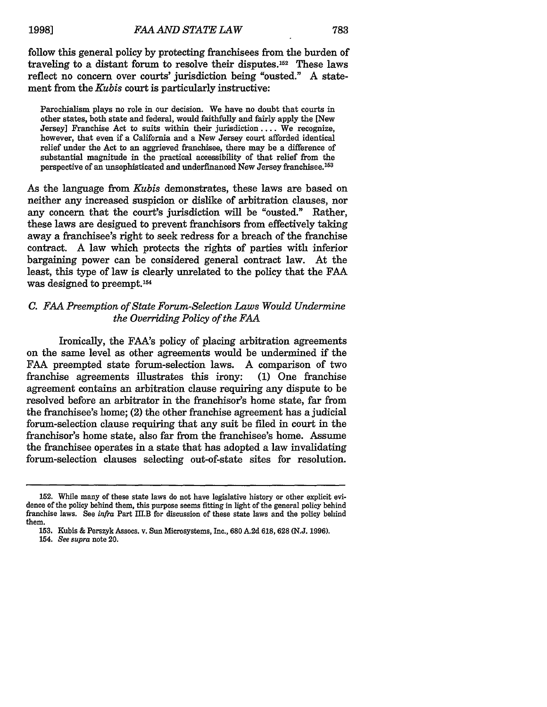follow this general policy **by** protecting franchisees from the burden of traveling to a distant forum to resolve their disputes.<sup>152</sup> These laws reflect no concern over courts' jurisdiction being "ousted." A statement from the *Kubis* court is particularly instructive:

Parochialism plays no role in our decision. We have no doubt that courts in other states, both state and federal, would faithfully and fairly apply the [New Jersey] Franchise Act to suits within their jurisdiction .... We recognize, however, that even if a California and a New Jersey court afforded identical relief under the Act to an aggrieved franchisee, there may be a difference of substantial magnitude in the practical accessibility of that relief from the perspective of an unsophisticated and underfinanced New Jersey franchisee. <sup>153</sup>

As the language from *Kubis* demonstrates, these laws are based on neither any increased suspicion or dislike of arbitration clauses, nor any concern that the court's jurisdiction will be "ousted." Rather, these laws are desigued to prevent franchisors from effectively taking away a franchisee's right to seek redress for a breach of the franchise contract. A law which protects the rights of parties with inferior bargaining power can be considered general contract law. At the least, this type of law is clearly unrelated to the policy that the **FAA** was designed to preempt.<sup>154</sup>

# *C. FAA Preemption of State Forum-Selection Laws Would Undermine the Overriding Policy of the FAA*

Ironically, the FAA's policy of placing arbitration agreements on the same level as other agreements would be undermined if the FAA preempted state forum-selection laws. A comparison of two franchise agreements illustrates this irony: (1) One franchise agreement contains an arbitration clause requiring any dispute to be resolved before an arbitrator in the franchisor's home state, far from the franchisee's home; (2) the other franchise agreement has a judicial forum-selection clause requiring that any suit be filed in court in the franchisor's home state, also far from the franchisee's home. Assume the franchisee operates in a state that has adopted a law invalidating forum-selection clauses selecting out-of-state sites for resolution.

154. *See supra* note 20.

<sup>152.</sup> While many of these state laws do not have legislative history or other explicit evidence of the policy behind them, this purpose seems fitting in light of the general policy behind franchise laws. See *infra* Part III.B for discussion of these state laws and the policy behind them.

<sup>153.</sup> Kubis & Perszyk Assocs. v. Sun Microsystems, Inc., **680** A.2d 618, **628** (N.J. 1996).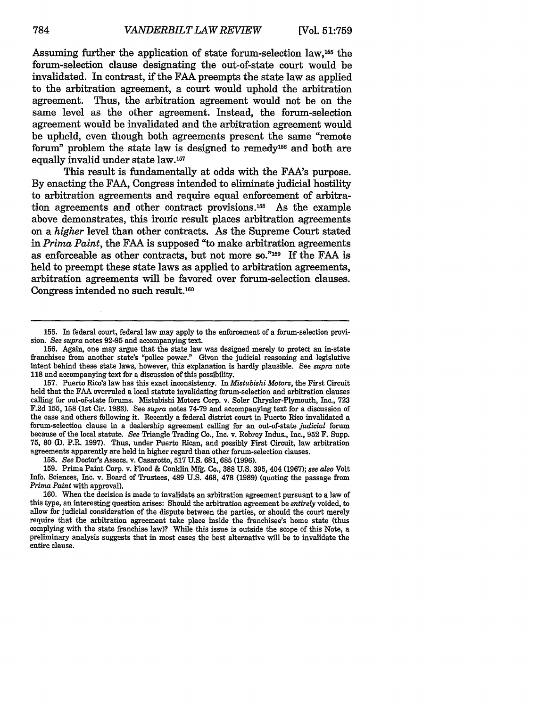Assuming further the application of state forum-selection law,155 the forum-selection clause designating the out-of-state court would be invalidated. In contrast, if the **FAA** preempts the state law as applied to the arbitration agreement, a court would uphold the arbitration agreement. Thus, the arbitration agreement would not be on the same level as the other agreement. Instead, the forum-selection agreement would be invalidated and the arbitration agreement would be upheld, even though both agreements present the same "remote forum" problem the state law is designed to remedy<sup>156</sup> and both are equally invalid under state law.157

This result is fundamentally at odds with the FAA's purpose. By enacting the FAA, Congress intended to eliminate judicial hostility to arbitration agreements and require equal enforcement of arbitration agreements and other contract provisions.<sup>158</sup> As the example above demonstrates, this ironic result places arbitration agreements on a *higher* level than other contracts. As the Supreme Court stated in *Prima Paint,* the FAA is supposed "to make arbitration agreements as enforceable as other contracts, but not more so."159 If the FAA is held to preempt these state laws as applied to arbitration agreements, arbitration agreements will be favored over forum-selection clauses. Congress intended no such result.<sup>160</sup>

158. *See* Doctor's Assocs. v. Casarotto, **517 U.S.** 681, **685** (1996).

**159.** Prima Paint Corp. v. Flood & Conklin Mfg. Co., 388 U.S. 395, 404 (1967); *see also* Volt Info. Sciences, Inc. v. Board of Trustees, 489 U.S. 468, 478 (1989) (quoting the passage from *Prima Paint* with approval).

160. When the decision is made to invalidate an arbitration agreement pursuant to a law of this type, an interesting question arises: Should the arbitration agreement be *entirely* voided, to allow for judicial consideration of the dispute between the parties, or should the court merely require that the arbitration agreement take place inside the franchisee's home state (thus complying with the state franchise law)? While this issue is outside the scope of this Note, a preliminary analysis suggests that in most cases the best alternative will be to invalidate the entire clause.

**<sup>155.</sup>** In federal court, federal law may apply to the enforcement of a forum-selection provision. *See supra* notes 92-95 and accompanying text.

**<sup>156.</sup>** Again, one may argue that the state law was designed merely to protect an in-state franchisee from another state's "police power." Given the judicial reasoning and legislative intent behind these state laws, however, this explanation is hardly plausible. See *supra* note **118** and accompanying text for a discussion of this possibility.

<sup>157.</sup> Puerto Rico's law has this exact inconsistency. In *Mistubishi Motors,* the First Circuit held that the **FAA** overruled a local statute invalidating forum-selection and arbitration clauses calling for out-of-state forums. Mistubishi Motors Corp. v. Soler Chrysler-Plymouth, Inc., 723 F.2d **155, 158** (1st Cir. 1983). See *supra* notes 74-79 and accompanying text for a discussion of the case and others following it. Recently a federal district court in Puerto Rico invalidated a forum-selection clause in a dealership agreement calling for an out-of-state *judicial* forum because of the local statute. *See* Triangle Trading Co., Inc. v. Robroy Indus., Inc., 952 F. Supp. **75,** 80 (D. P.R. 1997). Thus, under Puerto Rican, and possibly First Circuit, law arbitration agreements apparently are held in higher regard than other forum-selection clauses.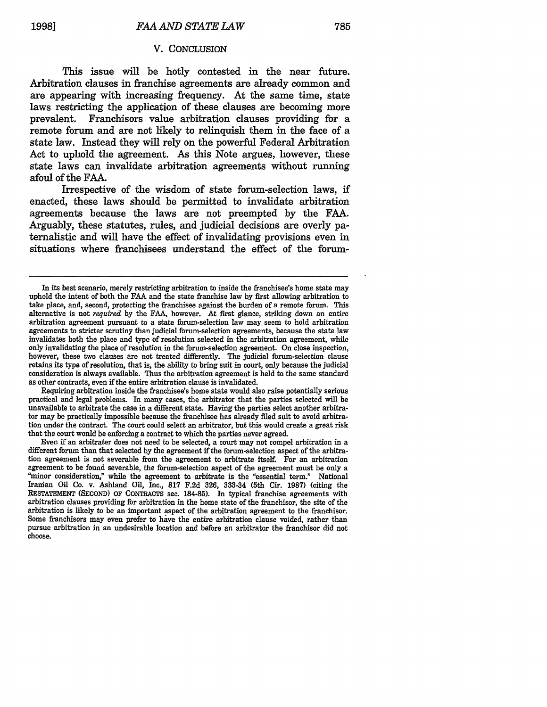#### V. CONCLUSION

This issue will be hotly contested in the near future. Arbitration clauses in franchise agreements are already common and are appearing with increasing frequency. At the same time, state laws restricting the application of these clauses are becoming more prevalent. Franchisors value arbitration clauses providing for a remote forum and are not likely to relinquish them in the face of a state law. Instead they will rely on the powerful Federal Arbitration Act to uphold the agreement. As this Note argues, however, these state laws can invalidate arbitration agreements without running afoul of the FAA.

Irrespective of the wisdom of state forum-selection laws, if enacted, these laws should be permitted to invalidate arbitration agreements because the laws are not preempted by the FAA. Arguably, these statutes, rules, and judicial decisions are overly paternalistic and will have the effect of invalidating provisions even in situations where franchisees understand the effect of the forum-

Requiring arbitration inside the franchisee's home state would also raise potentially serious practical and legal problems. In many cases, the arbitrator that the parties selected will be unavailable to arbitrate the case in a different state. Having the parties select another arbitrator may be practically impossible because the franchisee has already filed suit to avoid arbitration under the contract. The court could select an arbitrator, but this would create a great risk that the court would be enforcing a contract to which the parties never agreed.

Even if an arbitrater does not need to be selected, a court may not compel arbitration in a different forum than that selected **by** the agreement if the forum-selection aspect of the arbitration agreement is not severable from the agreement to arbitrate itself. For an arbitration agreement to be found severable, the forum-selection aspect of the agreement must be only a "minor consideration," while the agreement to arbitrate is the "essential term." National Iranian Oil Co. v. Ashland Oil, Inc., **817 F.2d 326, 333-34** (5th Cir. **1987)** (citing the RESTATEMENT **(SECOND)** OF **CONTRACTS** sec. **184-85).** In typical franchise agreements with arbitration clauses providing for arbitration in the home state of the franchisor, the site of the arbitration is likely to be an important aspect of the arbitration agreement to the franchisor. Some franchisors may even prefer to have the entire arbitration clause voided, rather than pursue arbitration in an undesirable location and before an arbitrator the franchisor did not choose.

In its best scenario, merely restricting arbitration to inside the franchisee's home state may uphold the intent of both the FAA and the state franchise law by first allowing arbitration to take place, and, second, protecting the franchisee against the burden of a remote forum. This alternative is not *required* by the FAA, however. At first glance, striking down an entire arbitration agreement pursuant to a state forum-selection law may seem to hold arbitration agreements to stricter scrutiny than judicial forum-selection agreements, because the state law invalidates both the place and type of resolution selected in the arbitration agreement, while only invalidating the place of resolution in the forum-selection agreement. On close inspection, however, these two clauses are not treated differently. The judicial forum-selection clause retains its type of resolution, that is, the ability to bring suit in court, only because the judicial consideration is always available. Thus the arbitration agreement is held to the same standard as other contracts, even if the entire arbitration clause is invalidated.